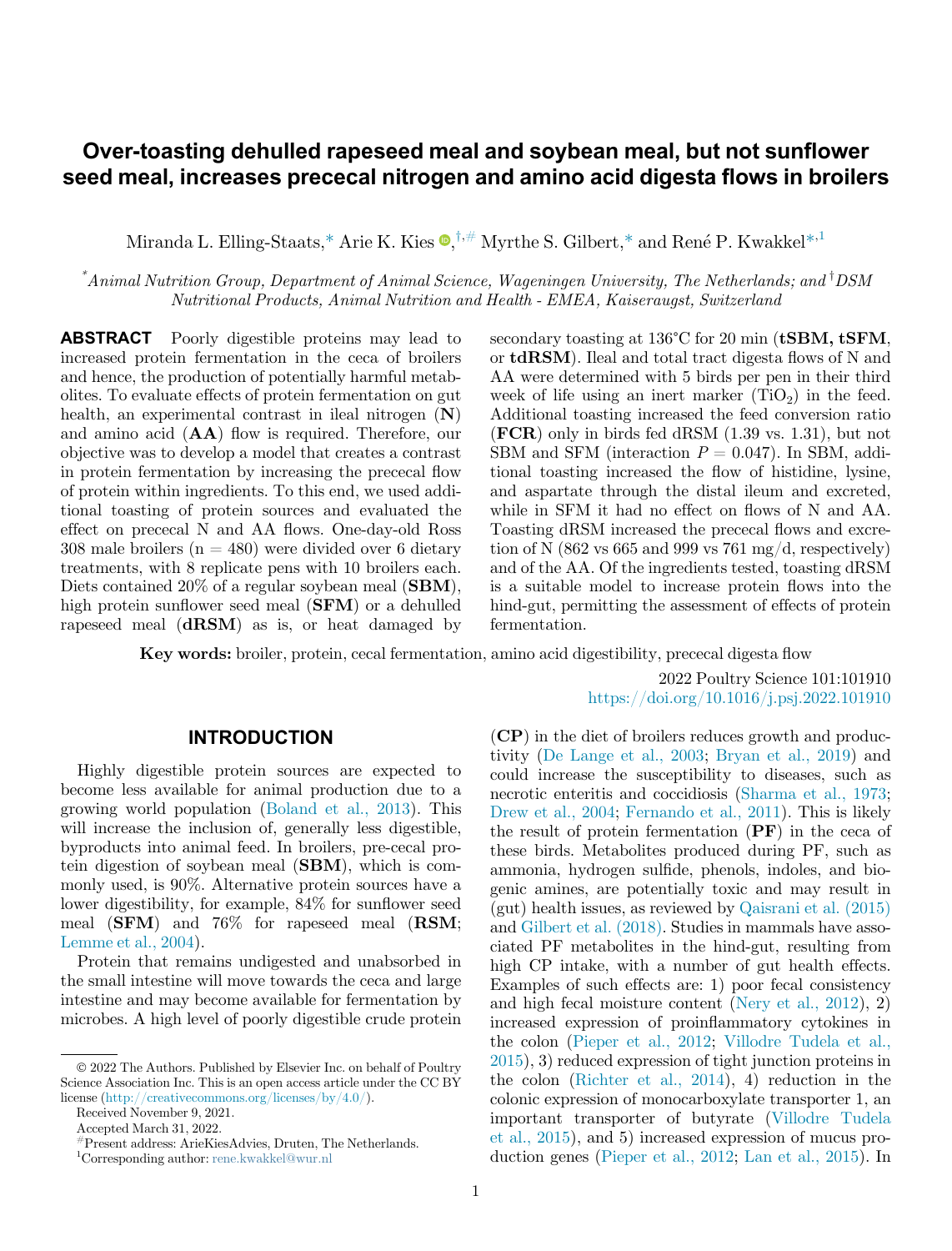# Over-toasting dehulled rapeseed meal and soybean meal, but not sunflower seed meal, increases prececal nitrogen and amino acid digesta flows in broilers

Miranda L. Elling-Staats,[\\*](#page-0-0) Arie K. Kies  $\Phi$ [,](#page-0-0)<sup>†,#</sup> M[y](#page-0-0)rthe S. Gilbert,\* and René P. Kwakkel\*<sup>,[1](#page-0-1)</sup>

<span id="page-0-0"></span> $^*$ Animal Nutrition Group, Department of Animal Science, Wageningen University, The Netherlands; and  $^{\dagger}$ DSM Nutritional Products, Animal Nutrition and Health - EMEA, Kaiseraugst, Switzerland

ABSTRACT Poorly digestible proteins may lead to increased protein fermentation in the ceca of broilers and hence, the production of potentially harmful metabolites. To evaluate effects of protein fermentation on gut health, an experimental contrast in ileal nitrogen (N) and amino acid (AA) flow is required. Therefore, our objective was to develop a model that creates a contrast in protein fermentation by increasing the prececal flow of protein within ingredients. To this end, we used additional toasting of protein sources and evaluated the effect on prececal N and AA flows. One-day-old Ross 308 male broilers  $(n = 480)$  were divided over 6 dietary treatments, with 8 replicate pens with 10 broilers each. Diets contained 20% of a regular soybean meal (**SBM**), high protein sunflower seed meal (SFM) or a dehulled rapeseed meal (dRSM) as is, or heat damaged by secondary toasting at 136°C for 20 min (tSBM, tSFM, or tdRSM). Ileal and total tract digesta flows of N and AA were determined with 5 birds per pen in their third week of life using an inert marker  $(TiO<sub>2</sub>)$  in the feed. Additional toasting increased the feed conversion ratio (FCR) only in birds fed dRSM (1.39 vs. 1.31), but not SBM and SFM (interaction  $P = 0.047$ ). In SBM, additional toasting increased the flow of histidine, lysine, and aspartate through the distal ileum and excreted, while in SFM it had no effect on flows of N and AA. Toasting dRSM increased the prececal flows and excretion of N (862 vs 665 and 999 vs 761 mg/d, respectively) and of the AA. Of the ingredients tested, toasting dRSM is a suitable model to increase protein flows into the hind-gut, permitting the assessment of effects of protein fermentation.

Key words: broiler, protein, cecal fermentation, amino acid digestibility, prececal digesta flow

2022 Poultry Science 101:101910 <https://doi.org/10.1016/j.psj.2022.101910>

### **INTRODUCTION**

Highly digestible protein sources are expected to become less available for animal production due to a growing world population ([Boland et al., 2013\)](#page-9-0). This will increase the inclusion of, generally less digestible, byproducts into animal feed. In broilers, pre-cecal protein digestion of soybean meal (SBM), which is commonly used, is 90%. Alternative protein sources have a lower digestibility, for example, 84% for sunflower seed meal (SFM) and 76% for rapeseed meal (RSM; [Lemme et al., 2004\)](#page-10-0).

Protein that remains undigested and unabsorbed in the small intestine will move towards the ceca and large intestine and may become available for fermentation by microbes. A high level of poorly digestible crude protein (CP) in the diet of broilers reduces growth and productivity ([De Lange et al., 2003;](#page-9-1) [Bryan et al., 2019\)](#page-9-2) and could increase the susceptibility to diseases, such as necrotic enteritis and coccidiosis [\(Sharma et al., 1973](#page-10-1); [Drew et al., 2004](#page-9-3); [Fernando et al., 2011](#page-9-4)). This is likely the result of protein fermentation  $(PF)$  in the ceca of these birds. Metabolites produced during PF, such as ammonia, hydrogen sulfide, phenols, indoles, and biogenic amines, are potentially toxic and may result in (gut) health issues, as reviewed by [Qaisrani et al. \(2015\)](#page-10-2) and [Gilbert et al. \(2018\).](#page-9-5) Studies in mammals have associated PF metabolites in the hind-gut, resulting from high CP intake, with a number of gut health effects. Examples of such effects are: 1) poor fecal consistency and high fecal moisture content ([Nery et al., 2012\)](#page-10-3), 2) increased expression of proinflammatory cytokines in the colon ([Pieper et al., 2012](#page-10-4); [Villodre Tudela et al.,](#page-10-5) [2015\)](#page-10-5), 3) reduced expression of tight junction proteins in the colon [\(Richter et al., 2014\)](#page-10-6), 4) reduction in the colonic expression of monocarboxylate transporter 1, an important transporter of butyrate [\(Villodre Tudela](#page-10-5) [et al., 2015](#page-10-5)), and 5) increased expression of mucus production genes [\(Pieper et al., 2012;](#page-10-4) [Lan et al., 2015\)](#page-10-7). In

2022 The Authors. Published by Elsevier Inc. on behalf of Poultry Science Association Inc. This is an open access article under the CC BY license [\(http://creativecommons.org/licenses/by/4.0/](http://creativecommons.org/licenses/by/4.0/)).

Received November 9, 2021.

Accepted March 31, 2022.

<sup>#</sup>Present address: ArieKiesAdvies, Druten, The Netherlands.

<span id="page-0-1"></span><sup>1</sup> Corresponding author: [rene.kwakkel@wur.nl](mailto:rene.kwakkel@wur.nl)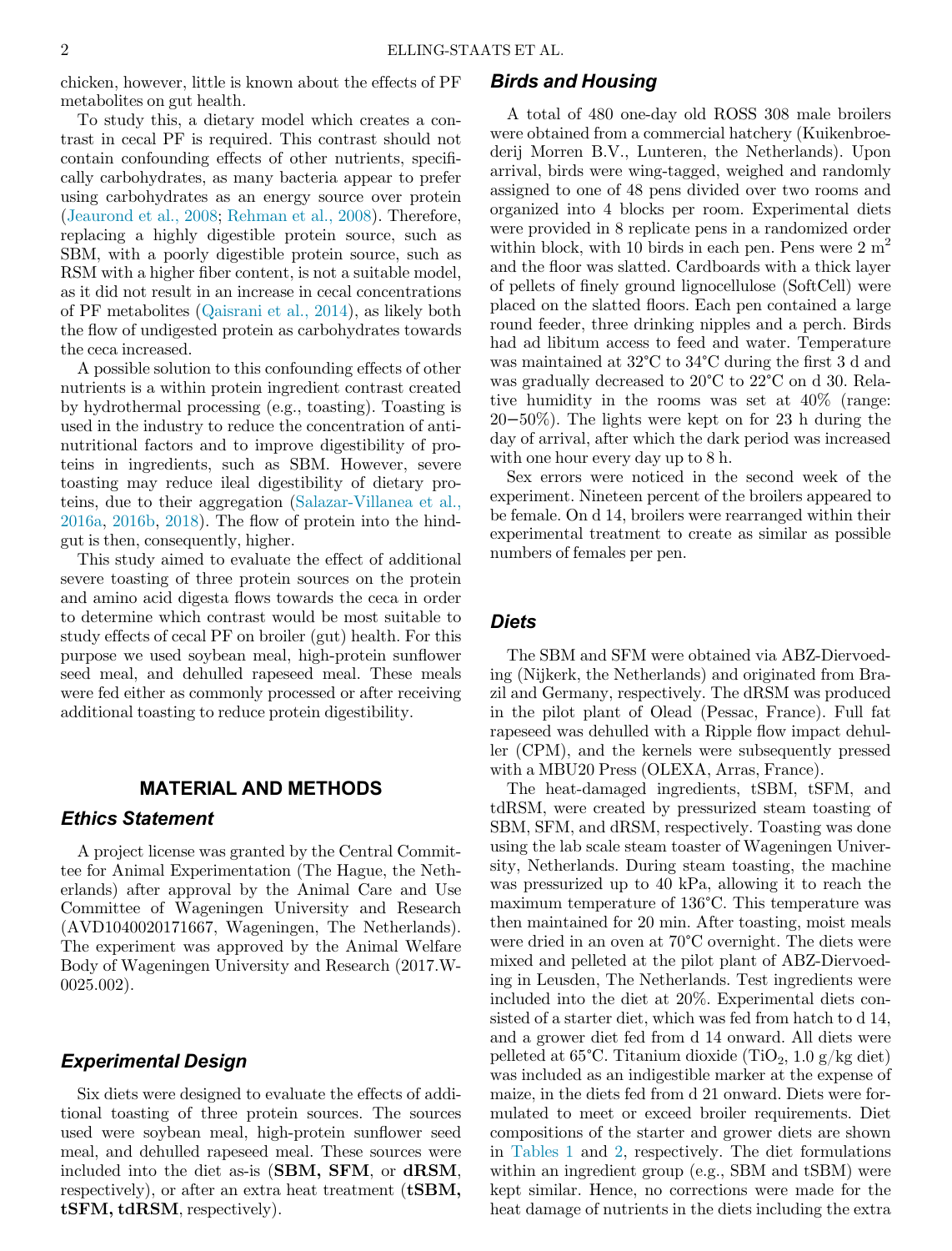chicken, however, little is known about the effects of PF metabolites on gut health.

To study this, a dietary model which creates a contrast in cecal PF is required. This contrast should not contain confounding effects of other nutrients, specifically carbohydrates, as many bacteria appear to prefer using carbohydrates as an energy source over protein ([Jeaurond et al., 2008](#page-10-8); [Rehman et al., 2008\)](#page-10-9). Therefore, replacing a highly digestible protein source, such as SBM, with a poorly digestible protein source, such as RSM with a higher fiber content, is not a suitable model, as it did not result in an increase in cecal concentrations of PF metabolites [\(Qaisrani et al., 2014\)](#page-10-10), as likely both the flow of undigested protein as carbohydrates towards the ceca increased.

A possible solution to this confounding effects of other nutrients is a within protein ingredient contrast created by hydrothermal processing (e.g., toasting). Toasting is used in the industry to reduce the concentration of antinutritional factors and to improve digestibility of proteins in ingredients, such as SBM. However, severe toasting may reduce ileal digestibility of dietary proteins, due to their aggregation [\(Salazar-Villanea et al.,](#page-10-11) [2016a](#page-10-11), [2016b](#page-10-12), [2018](#page-10-13)). The flow of protein into the hindgut is then, consequently, higher.

This study aimed to evaluate the effect of additional severe toasting of three protein sources on the protein and amino acid digesta flows towards the ceca in order to determine which contrast would be most suitable to study effects of cecal PF on broiler (gut) health. For this purpose we used soybean meal, high-protein sunflower seed meal, and dehulled rapeseed meal. These meals were fed either as commonly processed or after receiving additional toasting to reduce protein digestibility.

#### MATERIAL AND METHODS

# Ethics Statement

A project license was granted by the Central Committee for Animal Experimentation (The Hague, the Netherlands) after approval by the Animal Care and Use Committee of Wageningen University and Research (AVD1040020171667, Wageningen, The Netherlands). The experiment was approved by the Animal Welfare Body of Wageningen University and Research (2017.W-0025.002).

#### Experimental Design

Six diets were designed to evaluate the effects of additional toasting of three protein sources. The sources used were soybean meal, high-protein sunflower seed meal, and dehulled rapeseed meal. These sources were included into the diet as-is (SBM, SFM, or dRSM, respectively), or after an extra heat treatment (**tSBM**, tSFM, tdRSM, respectively).

# Birds and Housing

A total of 480 one-day old ROSS 308 male broilers were obtained from a commercial hatchery (Kuikenbroederij Morren B.V., Lunteren, the Netherlands). Upon arrival, birds were wing-tagged, weighed and randomly assigned to one of 48 pens divided over two rooms and organized into 4 blocks per room. Experimental diets were provided in 8 replicate pens in a randomized order within block, with 10 birds in each pen. Pens were  $2 m<sup>2</sup>$ and the floor was slatted. Cardboards with a thick layer of pellets of finely ground lignocellulose (SoftCell) were placed on the slatted floors. Each pen contained a large round feeder, three drinking nipples and a perch. Birds had ad libitum access to feed and water. Temperature was maintained at 32°C to 34°C during the first 3 d and was gradually decreased to 20°C to 22°C on d 30. Relative humidity in the rooms was set at 40% (range: 20−50%). The lights were kept on for 23 h during the day of arrival, after which the dark period was increased with one hour every day up to 8 h.

Sex errors were noticed in the second week of the experiment. Nineteen percent of the broilers appeared to be female. On d 14, broilers were rearranged within their experimental treatment to create as similar as possible numbers of females per pen.

#### **Diets**

The SBM and SFM were obtained via ABZ-Diervoeding (Nijkerk, the Netherlands) and originated from Brazil and Germany, respectively. The dRSM was produced in the pilot plant of Olead (Pessac, France). Full fat rapeseed was dehulled with a Ripple flow impact dehuller (CPM), and the kernels were subsequently pressed with a MBU20 Press (OLEXA, Arras, France).

The heat-damaged ingredients, tSBM, tSFM, and tdRSM, were created by pressurized steam toasting of SBM, SFM, and dRSM, respectively. Toasting was done using the lab scale steam toaster of Wageningen University, Netherlands. During steam toasting, the machine was pressurized up to 40 kPa, allowing it to reach the maximum temperature of 136°C. This temperature was then maintained for 20 min. After toasting, moist meals were dried in an oven at 70°C overnight. The diets were mixed and pelleted at the pilot plant of ABZ-Diervoeding in Leusden, The Netherlands. Test ingredients were included into the diet at 20%. Experimental diets consisted of a starter diet, which was fed from hatch to d 14, and a grower diet fed from d 14 onward. All diets were pelleted at  $65^{\circ}$ C. Titanium dioxide (TiO<sub>2</sub>, 1.0 g/kg diet) was included as an indigestible marker at the expense of maize, in the diets fed from d 21 onward. Diets were formulated to meet or exceed broiler requirements. Diet compositions of the starter and grower diets are shown in [Tables 1](#page-2-0) and [2](#page-3-0), respectively. The diet formulations within an ingredient group (e.g., SBM and tSBM) were kept similar. Hence, no corrections were made for the heat damage of nutrients in the diets including the extra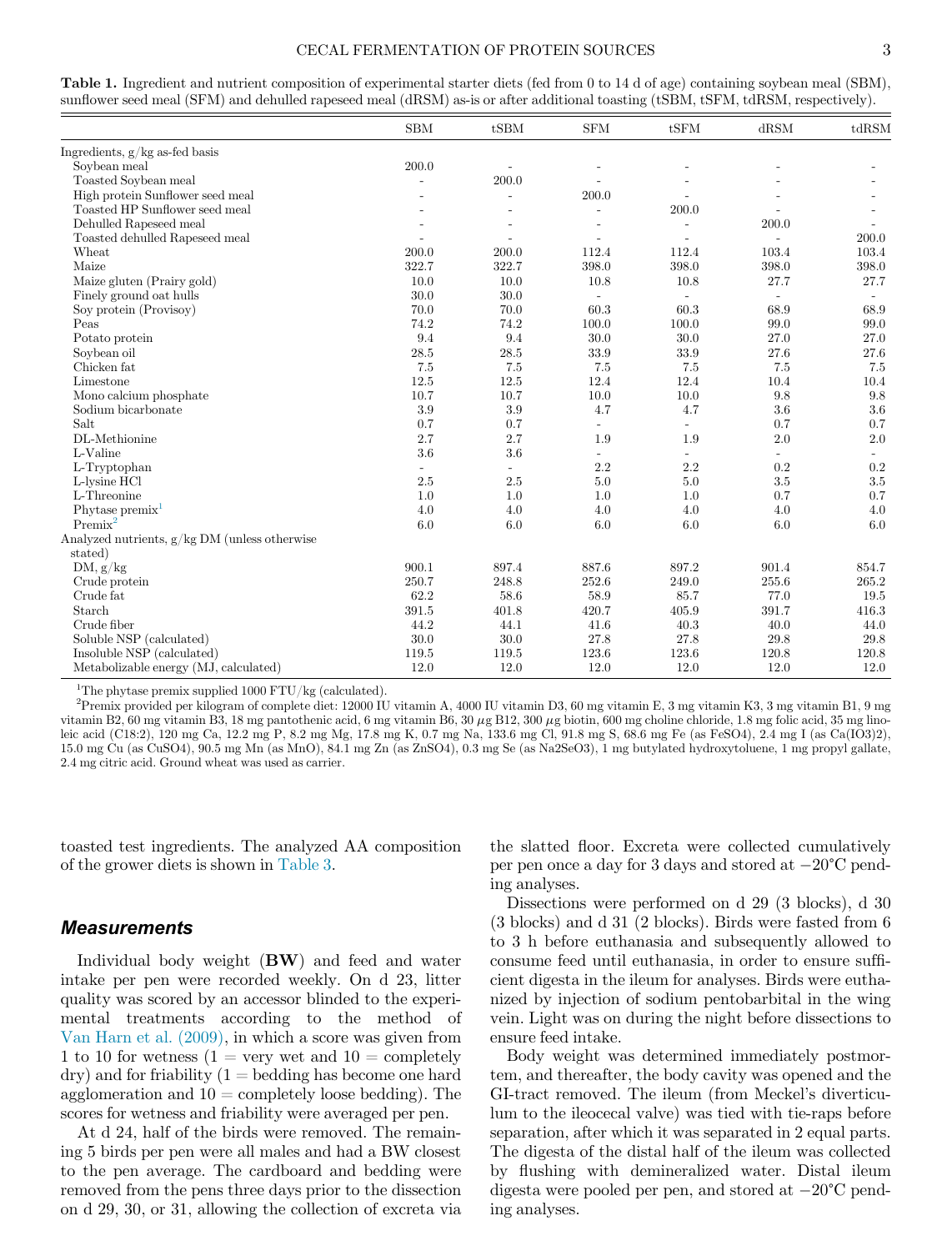#### CECAL FERMENTATION OF PROTEIN SOURCES 3

<span id="page-2-0"></span>

| Table 1. Ingredient and nutrient composition of experimental starter diets (fed from 0 to 14 d of age) containing soybean meal (SBM), |
|---------------------------------------------------------------------------------------------------------------------------------------|
| sunflower seed meal (SFM) and dehulled rapeseed meal (dRSM) as-is or after additional toasting (tSBM, tSFM, tdRSM, respectively).     |

|                                               | <b>SBM</b>     | tSBM                     | <b>SFM</b>     | tSFM                     | dRSM           | tdRSM   |
|-----------------------------------------------|----------------|--------------------------|----------------|--------------------------|----------------|---------|
| Ingredients, $g/kg$ as-fed basis              |                |                          |                |                          |                |         |
| Soybean meal                                  | 200.0          |                          |                |                          |                |         |
| Toasted Soybean meal                          | $\overline{a}$ | 200.0                    |                |                          |                |         |
| High protein Sunflower seed meal              |                | $\overline{a}$           | 200.0          |                          |                |         |
| Toasted HP Sunflower seed meal                |                | $\overline{a}$           | $\overline{a}$ | 200.0                    |                |         |
| Dehulled Rapeseed meal                        |                | $\overline{a}$           | $\overline{a}$ | $\overline{a}$           | 200.0          |         |
| Toasted dehulled Rapeseed meal                |                |                          | $\overline{a}$ | $\overline{a}$           | $\overline{a}$ | 200.0   |
| Wheat                                         | 200.0          | 200.0                    | 112.4          | 112.4                    | 103.4          | 103.4   |
| Maize                                         | 322.7          | 322.7                    | 398.0          | 398.0                    | 398.0          | 398.0   |
| Maize gluten (Prairy gold)                    | 10.0           | 10.0                     | 10.8           | 10.8                     | 27.7           | 27.7    |
| Finely ground oat hulls                       | 30.0           | 30.0                     | $\overline{a}$ | $\overline{a}$           | $\sim$         | $\sim$  |
| Soy protein (Provisoy)                        | 70.0           | 70.0                     | 60.3           | 60.3                     | 68.9           | 68.9    |
| Peas                                          | 74.2           | 74.2                     | 100.0          | 100.0                    | 99.0           | 99.0    |
| Potato protein                                | 9.4            | 9.4                      | 30.0           | 30.0                     | 27.0           | 27.0    |
| Soybean oil                                   | 28.5           | 28.5                     | 33.9           | 33.9                     | 27.6           | 27.6    |
| Chicken fat                                   | 7.5            | 7.5                      | 7.5            | 7.5                      | 7.5            | 7.5     |
| Limestone                                     | 12.5           | 12.5                     | 12.4           | 12.4                     | 10.4           | 10.4    |
| Mono calcium phosphate                        | 10.7           | 10.7                     | 10.0           | 10.0                     | 9.8            | 9.8     |
| Sodium bicarbonate                            | 3.9            | 3.9                      | 4.7            | 4.7                      | 3.6            | 3.6     |
| Salt                                          | 0.7            | 0.7                      | ÷.             |                          | 0.7            | 0.7     |
| DL-Methionine                                 | 2.7            | 2.7                      | 1.9            | 1.9                      | 2.0            | 2.0     |
| L-Valine                                      | 3.6            | 3.6                      | $\overline{a}$ | $\overline{\phantom{0}}$ | $\sim$         |         |
| L-Tryptophan                                  |                | $\overline{\phantom{0}}$ | 2.2            | 2.2                      | 0.2            | 0.2     |
| L-lysine HCl                                  | 2.5            | 2.5                      | 5.0            | 5.0                      | 3.5            | $3.5\,$ |
| L-Threonine                                   | 1.0            | 1.0                      | 1.0            | 1.0                      | 0.7            | 0.7     |
| Phytase premix <sup>1</sup>                   | 4.0            | 4.0                      | 4.0            | 4.0                      | 4.0            | 4.0     |
| $Premix^2$                                    | 6.0            | 6.0                      | 6.0            | 6.0                      | 6.0            | 6.0     |
| Analyzed nutrients, g/kg DM (unless otherwise |                |                          |                |                          |                |         |
| stated)                                       |                |                          |                |                          |                |         |
| DM, g/kg                                      | 900.1          | 897.4                    | 887.6          | 897.2                    | 901.4          | 854.7   |
| Crude protein                                 | 250.7          | 248.8                    | 252.6          | 249.0                    | 255.6          | 265.2   |
| Crude fat                                     | 62.2           | 58.6                     | 58.9           | 85.7                     | 77.0           | 19.5    |
| Starch                                        | 391.5          | 401.8                    | 420.7          | 405.9                    | 391.7          | 416.3   |
| Crude fiber                                   | 44.2           | 44.1                     | 41.6           | 40.3                     | 40.0           | 44.0    |
| Soluble NSP (calculated)                      | 30.0           | 30.0                     | 27.8           | 27.8                     | 29.8           | 29.8    |
| Insoluble NSP (calculated)                    | 119.5          | 119.5                    | 123.6          | 123.6                    | 120.8          | 120.8   |
| Metabolizable energy (MJ, calculated)         | 12.0           | 12.0                     | 12.0           | 12.0                     | 12.0           | 12.0    |

<sup>1</sup>The phytase premix supplied 1000 FTU/kg (calculated).

<span id="page-2-1"></span>2 Premix provided per kilogram of complete diet: 12000 IU vitamin A, 4000 IU vitamin D3, 60 mg vitamin E, 3 mg vitamin K3, 3 mg vitamin B1, 9 mg vitamin B2, 60 mg vitamin B3, 18 mg pantothenic acid, 6 mg vitamin B6, 30  $\mu$ g B12, 300  $\mu$ g biotin, 600 mg choline chloride, 1.8 mg folic acid, 35 mg linoleic acid (C18:2), 120 mg Ca, 12.2 mg P, 8.2 mg Mg, 17.8 mg K, 0.7 mg Na, 133.6 mg Cl, 91.8 mg S, 68.6 mg Fe (as FeSO4), 2.4 mg I (as Ca(IO3)2), 15.0 mg Cu (as CuSO4), 90.5 mg Mn (as MnO), 84.1 mg Zn (as ZnSO4), 0.3 mg Se (as Na2SeO3), 1 mg butylated hydroxytoluene, 1 mg propyl gallate, 2.4 mg citric acid. Ground wheat was used as carrier.

toasted test ingredients. The analyzed AA composition of the grower diets is shown in [Table 3.](#page-3-1)

### **Measurements**

Individual body weight (BW) and feed and water intake per pen were recorded weekly. On d 23, litter quality was scored by an accessor blinded to the experimental treatments according to the method of [Van Harn et al. \(2009\)](#page-10-14), in which a score was given from 1 to 10 for wetness  $(1 = \text{very wet and } 10 = \text{completely})$  $\text{dry}$ ) and for friability  $(1 = \text{bedding has become one hard})$ agglomeration and  $10 =$  completely loose bedding). The scores for wetness and friability were averaged per pen.

At d 24, half of the birds were removed. The remaining 5 birds per pen were all males and had a BW closest to the pen average. The cardboard and bedding were removed from the pens three days prior to the dissection on d 29, 30, or 31, allowing the collection of excreta via the slatted floor. Excreta were collected cumulatively per pen once a day for 3 days and stored at  $-20^{\circ}\text{C}$  pending analyses.

Dissections were performed on d 29 (3 blocks), d 30 (3 blocks) and d 31 (2 blocks). Birds were fasted from 6 to 3 h before euthanasia and subsequently allowed to consume feed until euthanasia, in order to ensure sufficient digesta in the ileum for analyses. Birds were euthanized by injection of sodium pentobarbital in the wing vein. Light was on during the night before dissections to ensure feed intake.

Body weight was determined immediately postmortem, and thereafter, the body cavity was opened and the GI-tract removed. The ileum (from Meckel's diverticulum to the ileocecal valve) was tied with tie-raps before separation, after which it was separated in 2 equal parts. The digesta of the distal half of the ileum was collected by flushing with demineralized water. Distal ileum digesta were pooled per pen, and stored at  $-20^{\circ}$ C pending analyses.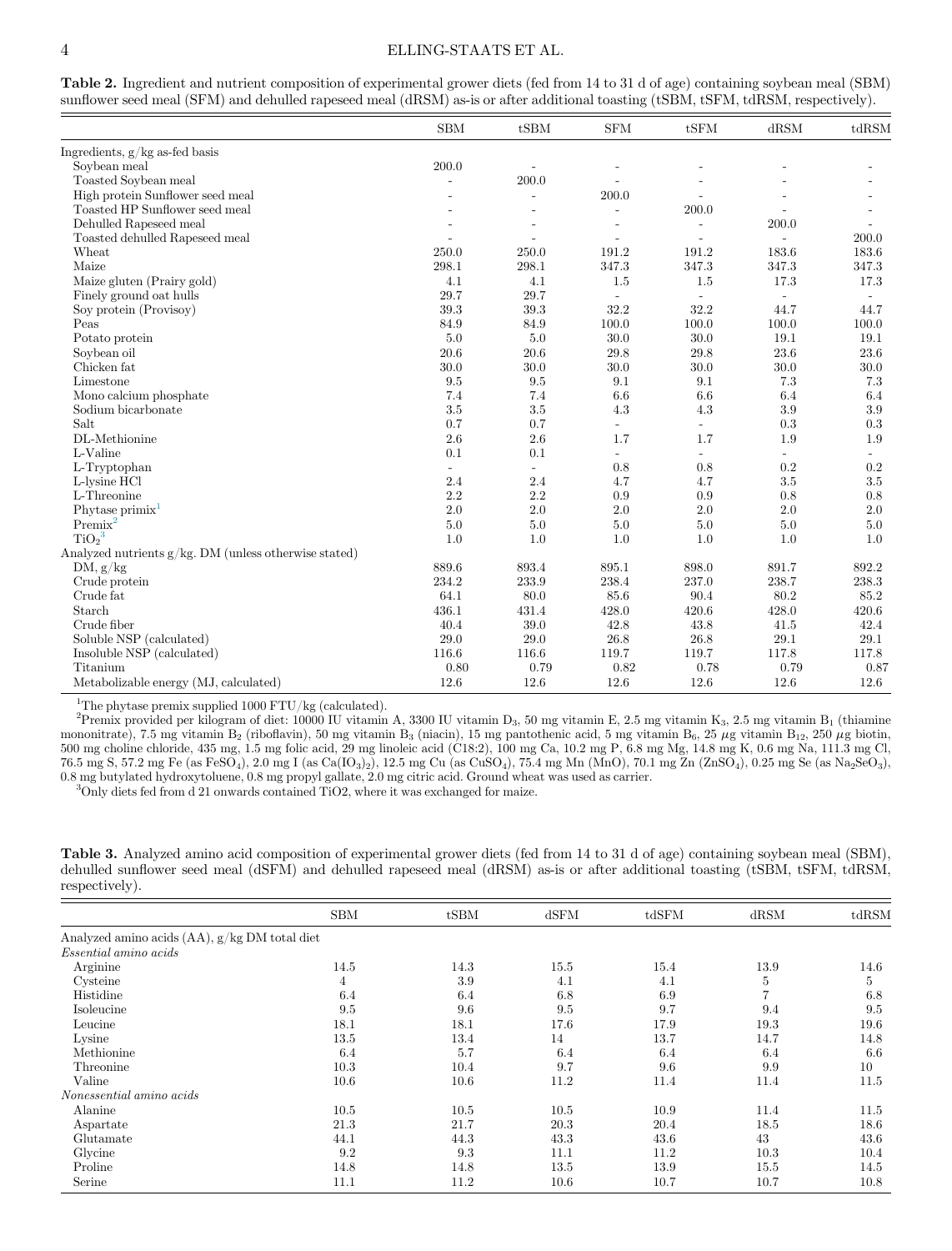#### 4 ELLING-STAATS ET AL.

|                                                          | <b>SBM</b>               | tSBM                     | <b>SFM</b>               | tSFM                     | dRSM                     | tdRSM |
|----------------------------------------------------------|--------------------------|--------------------------|--------------------------|--------------------------|--------------------------|-------|
| Ingredients, $g/kg$ as-fed basis                         |                          |                          |                          |                          |                          |       |
| Soybean meal                                             | 200.0                    | $\sim$                   |                          |                          |                          |       |
| Toasted Soybean meal                                     | $\overline{\phantom{a}}$ | 200.0                    |                          |                          |                          |       |
| High protein Sunflower seed meal                         |                          | $\overline{a}$           | 200.0                    |                          |                          |       |
| Toasted HP Sunflower seed meal                           |                          | L,                       |                          | 200.0                    |                          |       |
| Dehulled Rapeseed meal                                   | $\overline{a}$           | $\overline{\phantom{a}}$ | $\overline{\phantom{a}}$ | $\overline{\phantom{a}}$ | 200.0                    |       |
| Toasted dehulled Rapeseed meal                           | $\overline{a}$           | $\overline{a}$           | $\sim$                   | $\overline{\phantom{a}}$ | $\overline{a}$           | 200.0 |
| Wheat                                                    | 250.0                    | 250.0                    | 191.2                    | 191.2                    | 183.6                    | 183.6 |
| Maize                                                    | 298.1                    | 298.1                    | 347.3                    | 347.3                    | 347.3                    | 347.3 |
| Maize gluten (Prairy gold)                               | 4.1                      | 4.1                      | 1.5                      | 1.5                      | 17.3                     | 17.3  |
| Finely ground oat hulls                                  | 29.7                     | 29.7                     |                          |                          | $\overline{\phantom{0}}$ |       |
| Soy protein (Provisoy)                                   | 39.3                     | 39.3                     | 32.2                     | 32.2                     | 44.7                     | 44.7  |
| Peas                                                     | 84.9                     | 84.9                     | 100.0                    | 100.0                    | 100.0                    | 100.0 |
| Potato protein                                           | 5.0                      | 5.0                      | 30.0                     | 30.0                     | 19.1                     | 19.1  |
| Soybean oil                                              | 20.6                     | 20.6                     | 29.8                     | 29.8                     | 23.6                     | 23.6  |
| Chicken fat                                              | 30.0                     | 30.0                     | 30.0                     | 30.0                     | 30.0                     | 30.0  |
| Limestone                                                | 9.5                      | 9.5                      | 9.1                      | 9.1                      | 7.3                      | 7.3   |
| Mono calcium phosphate                                   | 7.4                      | 7.4                      | 6.6                      | 6.6                      | 6.4                      | 6.4   |
| Sodium bicarbonate                                       | $3.5\,$                  | 3.5                      | 4.3                      | 4.3                      | 3.9                      | 3.9   |
| Salt                                                     | 0.7                      | 0.7                      | $\overline{\phantom{a}}$ | $\overline{a}$           | 0.3                      | 0.3   |
| DL-Methionine                                            | 2.6                      | 2.6                      | 1.7                      | 1.7                      | 1.9                      | 1.9   |
| L-Valine                                                 | 0.1                      | 0.1                      | $\mathbf{r}$             | ÷.                       | $\overline{\phantom{a}}$ | ÷.    |
| L-Tryptophan                                             | $\overline{\phantom{a}}$ | $\overline{\phantom{a}}$ | 0.8                      | 0.8                      | 0.2                      | 0.2   |
| L-lysine HCl                                             | 2.4                      | 2.4                      | 4.7                      | 4.7                      | 3.5                      | 3.5   |
| L-Threonine                                              | 2.2                      | 2.2                      | 0.9                      | 0.9                      | 0.8                      | 0.8   |
| Phytase primix                                           | 2.0                      | 2.0                      | 2.0                      | 2.0                      | 2.0                      | 2.0   |
| $Premix^2$                                               | 5.0                      | 5.0                      | 5.0                      | 5.0                      | 5.0                      | 5.0   |
| TiO <sub>2</sub> <sup>3</sup>                            | 1.0                      | 1.0                      | 1.0                      | 1.0                      | 1.0                      | 1.0   |
| Analyzed nutrients $g/kg$ . DM (unless otherwise stated) |                          |                          |                          |                          |                          |       |
| DM, g/kg                                                 | 889.6                    | 893.4                    | 895.1                    | 898.0                    | 891.7                    | 892.2 |
| Crude protein                                            | 234.2                    | $233.9\,$                | 238.4                    | 237.0                    | 238.7                    | 238.3 |
| Crude fat                                                | 64.1                     | 80.0                     | 85.6                     | 90.4                     | 80.2                     | 85.2  |
| Starch                                                   | 436.1                    | 431.4                    | 428.0                    | 420.6                    | 428.0                    | 420.6 |
| Crude fiber                                              | 40.4                     | 39.0                     | 42.8                     | 43.8                     | 41.5                     | 42.4  |
| Soluble NSP (calculated)                                 | 29.0                     | $29.0\,$                 | 26.8                     | 26.8                     | 29.1                     | 29.1  |
| Insoluble NSP (calculated)                               | 116.6                    | 116.6                    | 119.7                    | 119.7                    | 117.8                    | 117.8 |
| Titanium                                                 | 0.80                     | 0.79                     | 0.82                     | 0.78                     | 0.79                     | 0.87  |
| Metabolizable energy (MJ, calculated)                    | 12.6                     | 12.6                     | 12.6                     | 12.6                     | 12.6                     | 12.6  |

<span id="page-3-0"></span>Table 2. Ingredient and nutrient composition of experimental grower diets (fed from 14 to 31 d of age) containing soybean meal (SBM) sunflower seed meal (SFM) and dehulled rapeseed meal (dRSM) as-is or after additional toasting (tSBM, tSFM, tdRSM, respectively).

<sup>1</sup>The phytase premix supplied 1000 FTU/kg (calculated).

<span id="page-3-2"></span><sup>2</sup> Premix provided per kilogram of diet: 10000 IU vitamin A, 3300 IU vitamin D<sub>3</sub>, 50 mg vitamin E, 2.5 mg vitamin K<sub>3</sub>, 2.5 mg vitamin B<sub>1</sub> (thiamine mononitrate), 7.5 mg vitamin B<sub>2</sub> (riboflavin), 50 mg vitamin B<sub>3</sub> (niacin), 15 mg pantothenic acid, 5 mg vitamin B<sub>6</sub>, 25  $\mu$ g vitamin B<sub>12</sub>, 250  $\mu$ g biotin, 500 mg choline chloride, 435 mg, 1.5 mg folic acid, 29 mg linoleic acid (C18:2), 100 mg Ca, 10.2 mg P, 6.8 mg Mg, 14.8 mg K, 0.6 mg Na, 111.3 mg Cl, 76.5 mg S, 57.2 mg Fe (as FeSO4), 2.0 mg I (as Ca(IO3)2), 12.5 mg Cu (as CuSO4), 75.4 mg Mn (MnO), 70.1 mg Zn (ZnSO4), 0.25 mg Se (as Na2SeO3), 0.8 mg butylated hydroxytoluene, 0.8 mg propyl gallate, 2.0 mg citric acid. Ground wheat was used as carrier.

<span id="page-3-3"></span><sup>3</sup>Only diets fed from d 21 onwards contained TiO2, where it was exchanged for maize.

<span id="page-3-1"></span>Table 3. Analyzed amino acid composition of experimental grower diets (fed from 14 to 31 d of age) containing soybean meal (SBM), dehulled sunflower seed meal (dSFM) and dehulled rapeseed meal (dRSM) as-is or after additional toasting (tSBM, tSFM, tdRSM, respectively).

|                                               | <b>SBM</b> | tSBM | d <sub>SFM</sub> | tdSFM | dRSM | tdRSM |
|-----------------------------------------------|------------|------|------------------|-------|------|-------|
| Analyzed amino acids (AA), g/kg DM total diet |            |      |                  |       |      |       |
| Essential amino acids                         |            |      |                  |       |      |       |
| Arginine                                      | 14.5       | 14.3 | 15.5             | 15.4  | 13.9 | 14.6  |
| Cysteine                                      | 4          | 3.9  | 4.1              | 4.1   | 5    | 5     |
| Histidine                                     | 6.4        | 6.4  | 6.8              | 6.9   | 7    | 6.8   |
| Isoleucine                                    | 9.5        | 9.6  | 9.5              | 9.7   | 9.4  | 9.5   |
| Leucine                                       | 18.1       | 18.1 | 17.6             | 17.9  | 19.3 | 19.6  |
| Lysine                                        | 13.5       | 13.4 | 14               | 13.7  | 14.7 | 14.8  |
| Methionine                                    | 6.4        | 5.7  | 6.4              | 6.4   | 6.4  | 6.6   |
| Threonine                                     | 10.3       | 10.4 | 9.7              | 9.6   | 9.9  | 10    |
| Valine                                        | 10.6       | 10.6 | 11.2             | 11.4  | 11.4 | 11.5  |
| Nonessential amino acids                      |            |      |                  |       |      |       |
| Alanine                                       | 10.5       | 10.5 | 10.5             | 10.9  | 11.4 | 11.5  |
| Aspartate                                     | 21.3       | 21.7 | 20.3             | 20.4  | 18.5 | 18.6  |
| Glutamate                                     | 44.1       | 44.3 | 43.3             | 43.6  | 43   | 43.6  |
| Glycine                                       | 9.2        | 9.3  | 11.1             | 11.2  | 10.3 | 10.4  |
| Proline                                       | 14.8       | 14.8 | 13.5             | 13.9  | 15.5 | 14.5  |
| Serine                                        | 11.1       | 11.2 | 10.6             | 10.7  | 10.7 | 10.8  |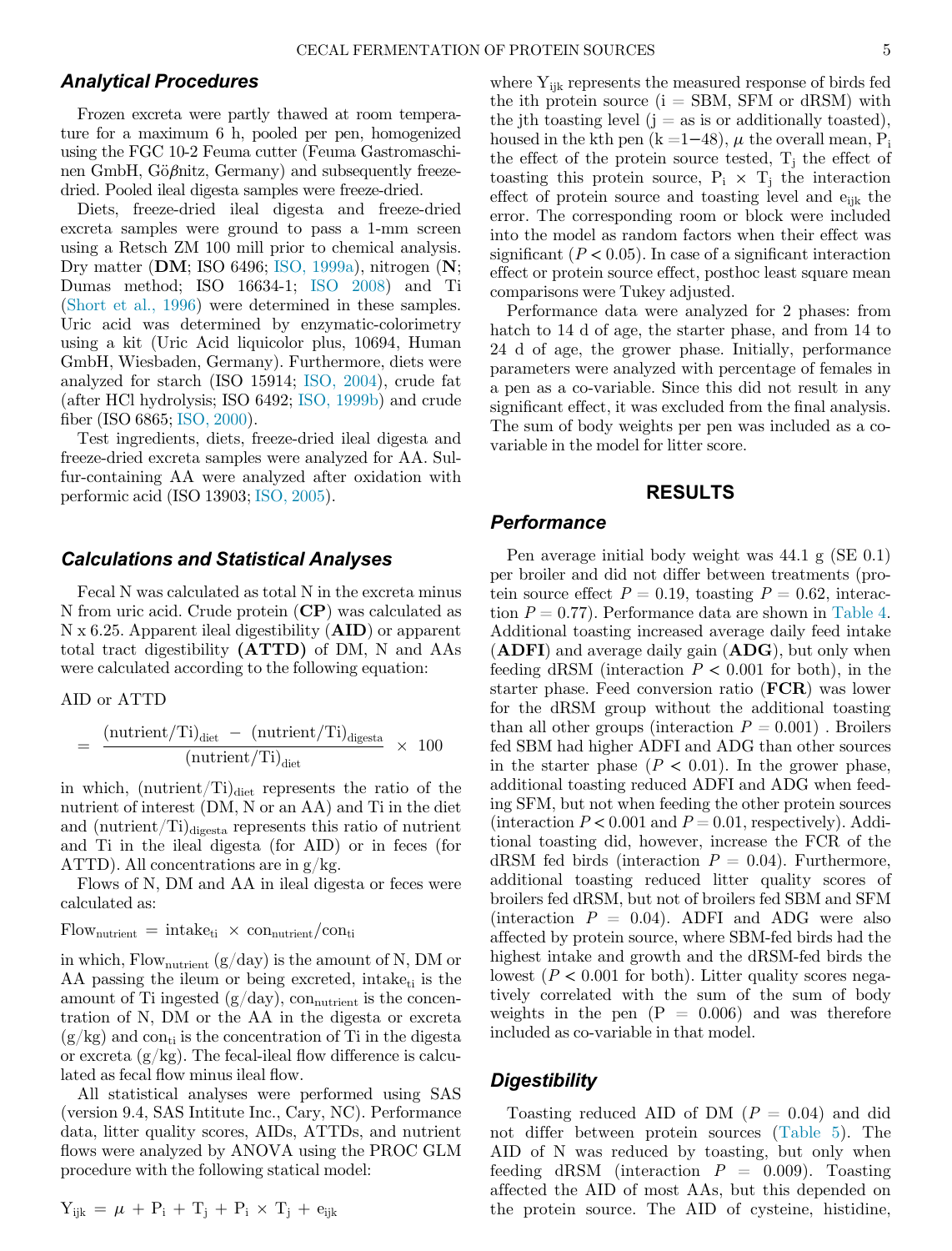### Analytical Procedures

Frozen excreta were partly thawed at room temperature for a maximum 6 h, pooled per pen, homogenized using the FGC 10-2 Feuma cutter (Feuma Gastromaschinen GmbH, Gö $\beta$ nitz, Germany) and subsequently freezedried. Pooled ileal digesta samples were freeze-dried.

Diets, freeze-dried ileal digesta and freeze-dried excreta samples were ground to pass a 1-mm screen using a Retsch ZM 100 mill prior to chemical analysis. Dry matter (DM; ISO 6496; [ISO, 1999a](#page-10-15)), nitrogen (N; Dumas method; ISO 16634-1; [ISO 2008](#page-10-16)) and Ti ([Short et al., 1996\)](#page-10-17) were determined in these samples. Uric acid was determined by enzymatic-colorimetry using a kit (Uric Acid liquicolor plus, 10694, Human GmbH, Wiesbaden, Germany). Furthermore, diets were analyzed for starch (ISO 15914; [ISO, 2004](#page-10-18)), crude fat (after HCl hydrolysis; ISO 6492; [ISO, 1999b\)](#page-10-19) and crude fiber (ISO 6865; [ISO, 2000\)](#page-10-20).

Test ingredients, diets, freeze-dried ileal digesta and freeze-dried excreta samples were analyzed for AA. Sulfur-containing AA were analyzed after oxidation with performic acid (ISO 13903; [ISO, 2005\)](#page-10-21).

#### Calculations and Statistical Analyses

Fecal N was calculated as total N in the excreta minus N from uric acid. Crude protein (CP) was calculated as N x 6.25. Apparent ileal digestibility (AID) or apparent total tract digestibility (ATTD) of DM, N and AAs were calculated according to the following equation:

AID or ATTD

$$
= \frac{(\text{nutrient/Ti})_{\text{dict}} - (\text{nutrient/Ti})_{\text{digesta}}}{(\text{nutrient/Ti})_{\text{dict}}} \times 100
$$

in which,  $\text{(nutrient/Ti)}_{\text{diet}}$  represents the ratio of the nutrient of interest (DM, N or an AA) and Ti in the diet and  $(\text{nutrient}/\text{Ti})_{\text{digesta}}$  represents this ratio of nutrient and Ti in the ileal digesta (for AID) or in feces (for ATTD). All concentrations are in g/kg.

Flows of N, DM and AA in ileal digesta or feces were calculated as:

 $Flow_{\text{nutrient}} = intake_{ti} \times con_{\text{nutrient}}/con_{ti}$ 

in which,  $Flow_{\text{nutrient}}(g/day)$  is the amount of N, DM or AA passing the ileum or being excreted, intake $_{ti}$  is the amount of Ti ingested  $(g/day)$ , con<sub>nutrient</sub> is the concentration of N, DM or the AA in the digesta or excreta  $(g/kg)$  and con<sub>ti</sub> is the concentration of Ti in the digesta or excreta  $(g/kg)$ . The fecal-ileal flow difference is calculated as fecal flow minus ileal flow.

All statistical analyses were performed using SAS (version 9.4, SAS Intitute Inc., Cary, NC). Performance data, litter quality scores, AIDs, ATTDs, and nutrient flows were analyzed by ANOVA using the PROC GLM procedure with the following statical model:

$$
Y_{ijk} = \mu + P_i + T_j + P_i \times T_j + e_{ijk}
$$

where  $Y_{ijk}$  represents the measured response of birds fed the ith protein source  $(i = SBM, SFM$  or dRSM) with the jth toasting level  $(j = as is or additionally to a seted)$ , housed in the kth pen  $(k = 1-48)$ ,  $\mu$  the overall mean, P<sub>i</sub> the effect of the protein source tested,  $T_i$  the effect of toasting this protein source,  $P_i \times T_j$  the interaction effect of protein source and toasting level and  $e_{ijk}$  the error. The corresponding room or block were included into the model as random factors when their effect was significant ( $P < 0.05$ ). In case of a significant interaction effect or protein source effect, posthoc least square mean comparisons were Tukey adjusted.

Performance data were analyzed for 2 phases: from hatch to 14 d of age, the starter phase, and from 14 to 24 d of age, the grower phase. Initially, performance parameters were analyzed with percentage of females in a pen as a co-variable. Since this did not result in any significant effect, it was excluded from the final analysis. The sum of body weights per pen was included as a covariable in the model for litter score.

# RESULTS

# **Performance**

Pen average initial body weight was 44.1 g (SE 0.1) per broiler and did not differ between treatments (protein source effect  $P = 0.19$ , toasting  $P = 0.62$ , interaction  $P = 0.77$ . Performance data are shown in [Table 4](#page-5-0). Additional toasting increased average daily feed intake (ADFI) and average daily gain (ADG), but only when feeding dRSM (interaction  $P < 0.001$  for both), in the starter phase. Feed conversion ratio (FCR) was lower for the dRSM group without the additional toasting than all other groups (interaction  $P = 0.001$ ). Broilers fed SBM had higher ADFI and ADG than other sources in the starter phase  $(P < 0.01)$ . In the grower phase, additional toasting reduced ADFI and ADG when feeding SFM, but not when feeding the other protein sources (interaction  $P < 0.001$  and  $P = 0.01$ , respectively). Additional toasting did, however, increase the FCR of the dRSM fed birds (interaction  $P = 0.04$ ). Furthermore, additional toasting reduced litter quality scores of broilers fed dRSM, but not of broilers fed SBM and SFM (interaction  $P = 0.04$ ). ADFI and ADG were also affected by protein source, where SBM-fed birds had the highest intake and growth and the dRSM-fed birds the lowest ( $P < 0.001$  for both). Litter quality scores negatively correlated with the sum of the sum of body weights in the pen  $(P = 0.006)$  and was therefore included as co-variable in that model.

#### **Digestibility**

Toasting reduced AID of DM  $(P = 0.04)$  and did not differ between protein sources ([Table 5](#page-5-1)). The AID of N was reduced by toasting, but only when feeding dRSM (interaction  $P = 0.009$ ). Toasting affected the AID of most AAs, but this depended on the protein source. The AID of cysteine, histidine,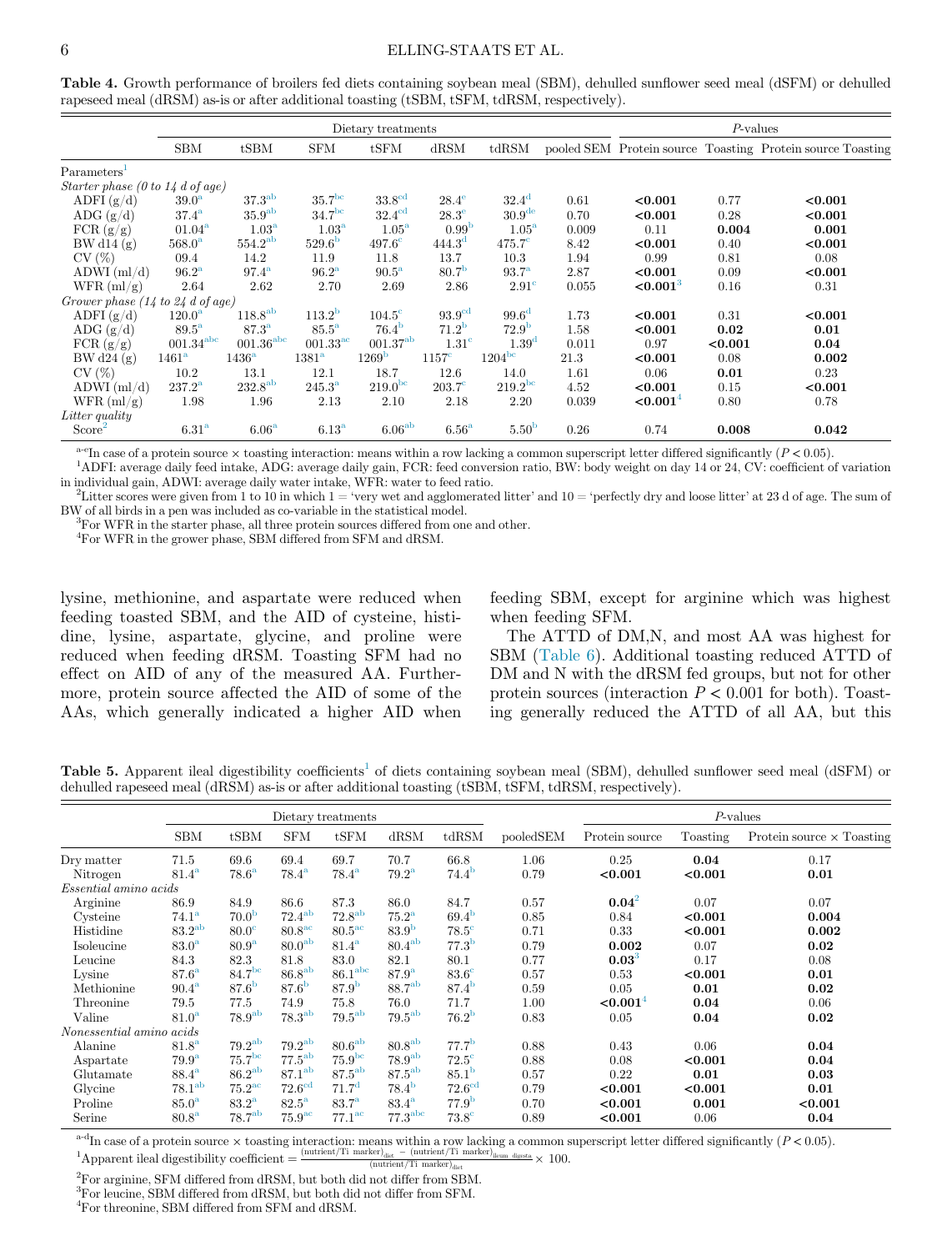<span id="page-5-0"></span>Table 4. Growth performance of broilers fed diets containing soybean meal (SBM), dehulled sunflower seed meal (dSFM) or dehulled rapeseed meal (dRSM) as-is or after additional toasting (tSBM, tSFM, tdRSM, respectively).

|                                                     |                         |                         |                     | Dietary treatments  |                     |                     |       | $P$ -values          |         |                                                            |  |
|-----------------------------------------------------|-------------------------|-------------------------|---------------------|---------------------|---------------------|---------------------|-------|----------------------|---------|------------------------------------------------------------|--|
|                                                     | <b>SBM</b>              | tSBM                    | <b>SFM</b>          | tSFM                | dRSM                | tdRSM               |       |                      |         | pooled SEM Protein source Toasting Protein source Toasting |  |
| Parameters <sup>1</sup>                             |                         |                         |                     |                     |                     |                     |       |                      |         |                                                            |  |
| Starter phase (0 to 14 d of age)                    |                         |                         |                     |                     |                     |                     |       |                      |         |                                                            |  |
| ADFI $(g/d)$                                        | 39.0 <sup>a</sup>       | $37.3^{ab}$             | 35.7 <sup>bc</sup>  | 33.8 <sup>cd</sup>  | $28.4^\mathrm{e}$   | $32.4^{\rm d}$      | 0.61  | < 0.001              | 0.77    | < 0.001                                                    |  |
| ADG $(g/d)$                                         | 37.4 <sup>a</sup>       | 35.9 <sup>ab</sup>      | 34.7 <sup>bc</sup>  | $32.4^{\rm cd}$     | $28.3^\mathrm{e}$   | 30.9 <sup>de</sup>  | 0.70  | < 0.001              | 0.28    | < 0.001                                                    |  |
| FCR(g/g)                                            | $01.04^{\rm a}$         | 1.03 <sup>a</sup>       | 1.03 <sup>a</sup>   | $1.05^{\mathrm{a}}$ | 0.99 <sup>b</sup>   | $1.05^{\mathrm{a}}$ | 0.009 | 0.11                 | 0.004   | 0.001                                                      |  |
| BW d14 $(g)$                                        | $568.0^{\rm a}$         | $554.2^{ab}$            | 529.6 <sup>b</sup>  | $497.6^\circ$       | 444.3 <sup>d</sup>  | $475.7^{\circ}$     | 8.42  | < 0.001              | 0.40    | < 0.001                                                    |  |
| CV(%)                                               | 09.4                    | 14.2                    | 11.9                | 11.8                | 13.7                | 10.3                | 1.94  | 0.99                 | 0.81    | 0.08                                                       |  |
| $ADWI$ (ml/d)                                       | 96.2 <sup>a</sup>       | $97.4^{\rm a}$          | $96.2^{\mathrm{a}}$ | $90.5^{\mathrm{a}}$ | 80.7 <sup>b</sup>   | $93.7^{\rm a}$      | 2.87  | < 0.001              | 0.09    | < 0.001                                                    |  |
| WFR (ml/g)                                          | 2.64                    | 2.62                    | 2.70                | 2.69                | 2.86                | $2.91^{\circ}$      | 0.055 | < 0.001 <sup>3</sup> | 0.16    | 0.31                                                       |  |
| Grower phase $(14 \text{ to } 24 \text{ d of age})$ |                         |                         |                     |                     |                     |                     |       |                      |         |                                                            |  |
| ADFI $(g/d)$                                        | $120.0^{\rm a}$         | 118.8 <sup>ab</sup>     | $113.2^{\rm b}$     | $104.5^{\circ}$     | 93.9 <sup>cd</sup>  | 99.6 <sup>d</sup>   | 1.73  | < 0.001              | 0.31    | < 0.001                                                    |  |
| ADG $(g/d)$                                         | $89.5^{\mathrm{a}}$     | 87.3 <sup>a</sup>       | $85.5^{\mathrm{a}}$ | $76.4^{b}$          | $71.2^{\rm b}$      | 72.9 <sup>b</sup>   | 1.58  | < 0.001              | 0.02    | 0.01                                                       |  |
| FCR(g/g)                                            | $001.34$ <sup>abc</sup> | $001.36$ <sup>abc</sup> | $001.33^{\rm ac}$   | $001.37^{ab}$       | 1.31 <sup>c</sup>   | 1.39 <sup>d</sup>   | 0.011 | 0.97                 | < 0.001 | 0.04                                                       |  |
| BW d24 $(g)$                                        | $1461^{\mathrm{a}}$     | 1436 <sup>a</sup>       | 1381 <sup>a</sup>   | 1269 <sup>b</sup>   | $1157^{\circ}$      | 1204 <sup>bc</sup>  | 21.3  | < 0.001              | 0.08    | 0.002                                                      |  |
| CV(%)                                               | 10.2                    | 13.1                    | 12.1                | 18.7                | 12.6                | 14.0                | 1.61  | 0.06                 | 0.01    | 0.23                                                       |  |
| $ADWI$ (ml/d)                                       | $237.2^{\rm a}$         | 232.8 <sup>ab</sup>     | $245.3^{\rm a}$     | 219.0 <sup>bc</sup> | $203.7^\circ$       | 219.2 <sup>bc</sup> | 4.52  | < 0.001              | 0.15    | < 0.001                                                    |  |
| WFR (ml/g)                                          | 1.98                    | 1.96                    | 2.13                | 2.10                | 2.18                | 2.20                | 0.039 | ${<}0.0014$          | 0.80    | 0.78                                                       |  |
| Litter quality                                      |                         |                         |                     |                     |                     |                     |       |                      |         |                                                            |  |
| Score <sup>2</sup>                                  | 6.31 <sup>a</sup>       | 6.06 <sup>a</sup>       | 6.13 <sup>a</sup>   | 6.06 <sup>ab</sup>  | $6.56^{\mathrm{a}}$ | 5.50 <sup>b</sup>   | 0.26  | 0.74                 | 0.008   | 0.042                                                      |  |

<sup>a-e</sup>In case of a protein source  $\times$  toasting interaction: means within a row lacking a common superscript letter differed significantly ( $P < 0.05$ ).

<span id="page-5-5"></span><span id="page-5-2"></span><sup>1</sup>ADFI: average daily feed intake, ADG: average daily gain, FCR: feed conversion ratio, BW: body weight on day 14 or 24, CV: coefficient of variation in individual gain, ADWI: average daily water intake, WFR: water to feed ratio. <sup>2</sup>

<span id="page-5-4"></span><span id="page-5-3"></span><sup>2</sup>Litter scores were given from 1 to 10 in which  $1 = 'very$  wet and agglomerated litter' and  $10 = 'perfectly$  dry and loose litter' at 23 d of age. The sum of BW of all birds in a pen was included as co-variable in the statistical model.

 ${}^{3}$ For WFR in the starter phase, all three protein sources differed from one and other.

4 For WFR in the grower phase, SBM differed from SFM and dRSM.

lysine, methionine, and aspartate were reduced when feeding toasted SBM, and the AID of cysteine, histidine, lysine, aspartate, glycine, and proline were reduced when feeding dRSM. Toasting SFM had no effect on AID of any of the measured AA. Furthermore, protein source affected the AID of some of the AAs, which generally indicated a higher AID when feeding SBM, except for arginine which was highest when feeding SFM.

The ATTD of DM,N, and most AA was highest for SBM [\(Table 6](#page-6-0)). Additional toasting reduced ATTD of DM and N with the dRSM fed groups, but not for other protein sources (interaction  $P < 0.001$  for both). Toasting generally reduced the ATTD of all AA, but this

<span id="page-5-1"></span>Table 5. Apparent ileal digestibility coefficients<sup>[1](#page-5-6)</sup> of diets containing soybean meal (SBM), dehulled sunflower seed meal (dSFM) or dehulled rapeseed meal (dRSM) as-is or after additional toasting (tSBM, tSFM, tdRSM, respectively).

|                          |                     |                      |                     | Dietary treatments  |                     |                   |           | $P$ -values    |          |                                  |  |
|--------------------------|---------------------|----------------------|---------------------|---------------------|---------------------|-------------------|-----------|----------------|----------|----------------------------------|--|
|                          | <b>SBM</b>          | tSBM                 | <b>SFM</b>          | tSFM                | dRSM                | tdRSM             | pooledSEM | Protein source | Toasting | Protein source $\times$ Toasting |  |
| Dry matter               | 71.5                | 69.6                 | 69.4                | 69.7                | 70.7                | 66.8              | 1.06      | 0.25           | 0.04     | 0.17                             |  |
| Nitrogen                 | $81.4^{\mathrm{a}}$ | $78.6^{\mathrm{a}}$  | $78.4^{\rm a}$      | $78.4^{\rm a}$      | $79.2^{\mathrm{a}}$ | $74.4^{\rm b}$    | 0.79      | < 0.001        | < 0.001  | 0.01                             |  |
| Essential amino acids    |                     |                      |                     |                     |                     |                   |           |                |          |                                  |  |
| Arginine                 | 86.9                | 84.9                 | 86.6                | 87.3                | 86.0                | 84.7              | 0.57      | $0.04^2$       | 0.07     | 0.07                             |  |
| Cysteine                 | 74.1 <sup>a</sup>   | 70.0 <sup>b</sup>    | $72.4^{ab}$         | $72.8^{ab}$         | $75.2^{\mathrm{a}}$ | 69.4 <sup>b</sup> | 0.85      | 0.84           | < 0.001  | 0.004                            |  |
| Histidine                | $83.2^{ab}$         | $80.0^\circ$         | $80.8^{\rm ac}$     | $80.5^{\circ}$      | 83.9 <sup>b</sup>   | $78.5^\circ$      | 0.71      | 0.33           | < 0.001  | 0.002                            |  |
| Isoleucine               | 83.0 <sup>a</sup>   | 80.9 <sup>a</sup>    | 80.0 <sup>ab</sup>  | $81.4^{\mathrm{a}}$ | $80.4^{ab}$         | 77.3 <sup>b</sup> | 0.79      | 0.002          | 0.07     | 0.02                             |  |
| Leucine                  | 84.3                | 82.3                 | 81.8                | 83.0                | 82.1                | 80.1              | 0.77      | $0.03^{3}$     | 0.17     | 0.08                             |  |
| Lysine                   | $87.6^{\mathrm{a}}$ | 84.7 <sup>bc</sup>   | 86.8 <sup>ab</sup>  | 86.1 <sup>abc</sup> | 87.9 <sup>a</sup>   | $83.6^\circ$      | 0.57      | 0.53           | < 0.001  | 0.01                             |  |
| Methionine               | $90.4^{\rm a}$      | 87.6 <sup>b</sup>    | 87.6 <sup>b</sup>   | 87.9 <sup>b</sup>   | 88.7 <sup>ab</sup>  | 87.4 <sup>b</sup> | 0.59      | 0.05           | 0.01     | 0.02                             |  |
| Threonine                | 79.5                | 77.5                 | 74.9                | 75.8                | 76.0                | 71.7              | 1.00      | ${<}0.0014$    | 0.04     | 0.06                             |  |
| Valine                   | 81.0 <sup>a</sup>   | 78.9 <sup>ab</sup>   | $78.3^{ab}$         | $79.5^{ab}$         | $79.5^{ab}$         | 76.2 <sup>b</sup> | 0.83      | 0.05           | 0.04     | 0.02                             |  |
| Nonessential amino acids |                     |                      |                     |                     |                     |                   |           |                |          |                                  |  |
| Alanine                  | 81.8 <sup>a</sup>   | $79.2^{ab}$          | $79.2^{ab}$         | 80.6 <sup>ab</sup>  | 80.8 <sup>ab</sup>  | 77.7 <sup>b</sup> | 0.88      | 0.43           | 0.06     | 0.04                             |  |
| Aspartate                | 79.9 <sup>a</sup>   | $75.7^{\rm bc}$      | $77.5^{ab}$         | 75.9 <sup>bc</sup>  | 78.9 <sup>ab</sup>  | $72.5^\circ$      | 0.88      | 0.08           | < 0.001  | 0.04                             |  |
| Glutamate                | $88.4^{\mathrm{a}}$ | $86.2^{ab}$          | 87.1 <sup>ab</sup>  | $87.5^{ab}$         | $87.5^{ab}$         | 85.1 <sup>b</sup> | 0.57      | 0.22           | 0.01     | 0.03                             |  |
| Glycine                  | 78.1 <sup>ab</sup>  | $75.2^{\mathrm{ac}}$ | $72.6^{\rm cd}$     | 71.7 <sup>d</sup>   | 78.4 <sup>b</sup>   | $72.6^{\rm cd}$   | 0.79      | < 0.001        | < 0.001  | 0.01                             |  |
| Proline                  | 85.0 <sup>a</sup>   | $83.2^{\mathrm{a}}$  | $82.5^{\mathrm{a}}$ | 83.7 <sup>a</sup>   | $83.4^{\mathrm{a}}$ | $77.9^{b}$        | 0.70      | < 0.001        | 0.001    | < 0.001                          |  |
| Serine                   | 80.8 <sup>a</sup>   | 78.7 <sup>ab</sup>   | 75.9 <sup>ac</sup>  | $77.1^\mathrm{ac}$  | 77.3 <sup>abc</sup> | $73.8^\circ$      | 0.89      | < 0.001        | 0.06     | 0.04                             |  |

<span id="page-5-7"></span><span id="page-5-6"></span><sup>a-d</sup>In case of a protein source  $\times$  toasting interaction: means within a row lacking a common superscript letter differed significantly ( $P < 0.05$ ).  $\text{Apparent ideal digestibility coefficient} = \frac{\text{(nutrient/Ti marker)}_{\text{dist}} - \text{(nutrient/Ti marker)}_{\text{dist}}}{\text{(nutrient/Ti marker)}_{\text{dist}}} \times 100.$ 

<span id="page-5-8"></span>2 For arginine, SFM differed from dRSM, but both did not differ from SBM. 3 For leucine, SBM differed from dRSM, but both did not differ from SFM.

<span id="page-5-9"></span>4 For threonine, SBM differed from SFM and dRSM.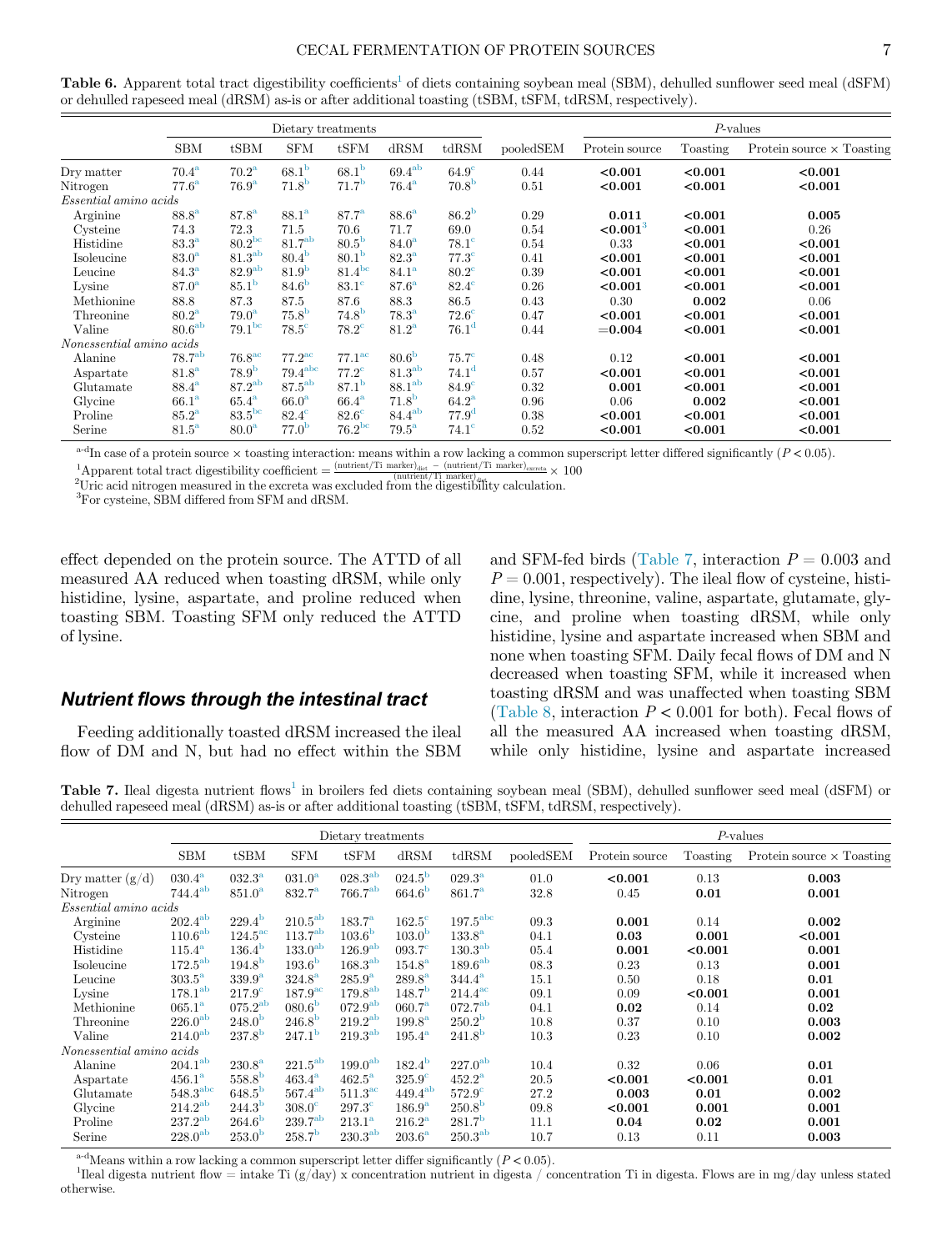#### CECAL FERMENTATION OF PROTEIN SOURCES 7

<span id="page-6-0"></span>Table 6. Apparent total tract digestibility coefficients<sup>[1](#page-6-2)</sup> of diets containing soybean meal (SBM), dehulled sunflower seed meal (dSFM) or dehulled rapeseed meal (dRSM) as-is or after additional toasting (tSBM, tSFM, tdRSM, respectively).

|                          |                     |                     | Dietary treatments   |                     |                     |                   |           | $P$ -values    |          |                                  |  |
|--------------------------|---------------------|---------------------|----------------------|---------------------|---------------------|-------------------|-----------|----------------|----------|----------------------------------|--|
|                          | <b>SBM</b>          | tSBM                | <b>SFM</b>           | tSFM                | dRSM                | tdRSM             | pooledSEM | Protein source | Toasting | Protein source $\times$ Toasting |  |
| Dry matter               | $70.4^{\mathrm{a}}$ | 70.2 <sup>a</sup>   | 68.1 <sup>b</sup>    | 68.1 <sup>b</sup>   | $69.4^{ab}$         | $64.9^\circ$      | 0.44      | < 0.001        | < 0.001  | < 0.001                          |  |
| Nitrogen                 | $77.6^{\mathrm{a}}$ | 76.9 <sup>a</sup>   | 71.8 <sup>b</sup>    | 71.7 <sup>b</sup>   | $76.4^{\mathrm{a}}$ | 70.8 <sup>b</sup> | 0.51      | < 0.001        | < 0.001  | < 0.001                          |  |
| Essential amino acids    |                     |                     |                      |                     |                     |                   |           |                |          |                                  |  |
| Arginine                 | 88.8 <sup>a</sup>   | $87.8^{\rm a}$      | 88.1 <sup>a</sup>    | $87.7^{\rm a}$      | 88.6 <sup>a</sup>   | 86.2 <sup>b</sup> | 0.29      | 0.011          | < 0.001  | 0.005                            |  |
| Cysteine                 | 74.3                | 72.3                | 71.5                 | 70.6                | 71.7                | 69.0              | 0.54      | ${<}0.0013$    | < 0.001  | 0.26                             |  |
| Histidine                | 83.3 <sup>a</sup>   | $80.2^{bc}$         | 81.7 <sup>ab</sup>   | 80.5 <sup>b</sup>   | 84.0 <sup>a</sup>   | $78.1^\circ$      | 0.54      | 0.33           | < 0.001  | < 0.001                          |  |
| Isoleucine               | 83.0 <sup>a</sup>   | 81.3 <sup>ab</sup>  | 80.4 <sup>b</sup>    | 80.1 <sup>b</sup>   | $82.3^{\mathrm{a}}$ | $77.3^\circ$      | 0.41      | < 0.001        | < 0.001  | < 0.001                          |  |
| Leucine                  | 84.3 <sup>a</sup>   | 82.9 <sup>ab</sup>  | 81.9 <sup>b</sup>    | $81.4^{bc}$         | 84.1 <sup>a</sup>   | $80.2^{\circ}$    | 0.39      | < 0.001        | < 0.001  | < 0.001                          |  |
| Lysine                   | 87.0 <sup>a</sup>   | 85.1 <sup>b</sup>   | 84.6 <sup>b</sup>    | $83.1^\circ$        | 87.6 <sup>a</sup>   | $82.4^\circ$      | 0.26      | < 0.001        | < 0.001  | < 0.001                          |  |
| Methionine               | 88.8                | 87.3                | 87.5                 | 87.6                | 88.3                | 86.5              | 0.43      | 0.30           | 0.002    | 0.06                             |  |
| Threonine                | 80.2 <sup>a</sup>   | 79.0 <sup>a</sup>   | 75.8 <sup>b</sup>    | $74.8^{b}$          | $78.3^{\mathrm{a}}$ | $72.6^\circ$      | 0.47      | < 0.001        | < 0.001  | < 0.001                          |  |
| Valine                   | 80.6 <sup>ab</sup>  | 79.1 <sup>bc</sup>  | $78.5^\circ$         | $78.2^{\circ}$      | 81.2 <sup>a</sup>   | 76.1 <sup>d</sup> | 0.44      | $= 0.004$      | < 0.001  | < 0.001                          |  |
| Nonessential amino acids |                     |                     |                      |                     |                     |                   |           |                |          |                                  |  |
| Alanine                  | 78.7 <sup>ab</sup>  | 76.8 <sup>ac</sup>  | $77.2^{\mathrm{ac}}$ | $77.1^\mathrm{ac}$  | 80.6 <sup>b</sup>   | 75.7 <sup>c</sup> | 0.48      | 0.12           | < 0.001  | < 0.001                          |  |
| Aspartate                | 81.8 <sup>a</sup>   | 78.9 <sup>b</sup>   | 79.4 <sup>abc</sup>  | $77.2^{\circ}$      | $81.3^{ab}$         | 74.1 <sup>d</sup> | 0.57      | < 0.001        | < 0.001  | < 0.001                          |  |
| Glutamate                | $88.4^{\mathrm{a}}$ | $87.2^{ab}$         | $87.5^{ab}$          | 87.1 <sup>b</sup>   | 88.1 <sup>ab</sup>  | $84.9^\circ$      | 0.32      | 0.001          | < 0.001  | < 0.001                          |  |
| Glycine                  | 66.1 <sup>a</sup>   | $65.4^{\mathrm{a}}$ | 66.0 <sup>a</sup>    | $66.4^{\mathrm{a}}$ | 71.8 <sup>b</sup>   | 64.2 <sup>a</sup> | 0.96      | 0.06           | 0.002    | < 0.001                          |  |
| Proline                  | 85.2 <sup>a</sup>   | 83.5 <sup>bc</sup>  | $82.4^\circ$         | $82.6^\circ$        | $84.4^{ab}$         | 77.9 <sup>d</sup> | 0.38      | < 0.001        | < 0.001  | < 0.001                          |  |
| Serine                   | $81.5^{\mathrm{a}}$ | 80.0 <sup>a</sup>   | 77.0 <sup>b</sup>    | $76.2^{bc}$         | $79.5^{\mathrm{a}}$ | $74.1^\circ$      | 0.52      | < 0.001        | < 0.001  | < 0.001                          |  |

<span id="page-6-2"></span><sup>a-d</sup>In case of a protein source  $\times$  toasting interaction: means within a row lacking a common superscript letter differed significantly ( $P < 0.05$ ).

<sup>1</sup>Apparent total tract digestibility coefficient  $=\frac{\text{(nutrient/Ti marker)}_{\text{dist}} - \text{(nutrient/Ti marker)}_{\text{nextest}}}{\text{(mutient)}_{\text{dist}} + \text{(dot-off)}} \times 100$ <br><sup>2</sup>Urie acid nitrogen measured in the exercta was excluded from the digentiality calculation

<span id="page-6-3"></span><sup>2</sup>Uric acid nitrogen measured in the excreta was excluded from the digestibility calculation.

3 For cysteine, SBM differed from SFM and dRSM.

effect depended on the protein source. The ATTD of all measured AA reduced when toasting dRSM, while only histidine, lysine, aspartate, and proline reduced when toasting SBM. Toasting SFM only reduced the ATTD of lysine.

#### Nutrient flows through the intestinal tract

Feeding additionally toasted dRSM increased the ileal flow of DM and N, but had no effect within the SBM and SFM-fed birds [\(Table 7,](#page-6-1) interaction  $P = 0.003$  and  $P = 0.001$ , respectively). The ileal flow of cysteine, histidine, lysine, threonine, valine, aspartate, glutamate, glycine, and proline when toasting dRSM, while only histidine, lysine and aspartate increased when SBM and none when toasting SFM. Daily fecal flows of DM and N decreased when toasting SFM, while it increased when toasting dRSM and was unaffected when toasting SBM ([Table 8](#page-7-0), interaction  $P < 0.001$  for both). Fecal flows of all the measured AA increased when toasting dRSM, while only histidine, lysine and aspartate increased

<span id="page-6-1"></span>Table 7. Ileal digesta nutrient flows<sup>[1](#page-6-4)</sup> in broilers fed diets containing soybean meal (SBM), dehulled sunflower seed meal (dSFM) or dehulled rapeseed meal (dRSM) as-is or after additional toasting (tSBM, tSFM, tdRSM, respectively).

|                              |                     |                       |                     | Dietary treatments  |                    |                     |           | $P$ -values    |          |                                  |  |
|------------------------------|---------------------|-----------------------|---------------------|---------------------|--------------------|---------------------|-----------|----------------|----------|----------------------------------|--|
|                              | <b>SBM</b>          | tSBM                  | <b>SFM</b>          | tSFM                | dRSM               | tdRSM               | pooledSEM | Protein source | Toasting | Protein source $\times$ Toasting |  |
| Dry matter $(g/d)$           | $030.4^{\rm a}$     | $032.3^{\rm a}$       | $031.0^{\rm a}$     | $028.3^{\rm ab}$    | $024.5^{\rm b}$    | $029.3^{\rm a}$     | 01.0      | < 0.001        | 0.13     | 0.003                            |  |
| Nitrogen                     | $744.4^{ab}$        | $851.0^{\rm a}$       | $832.7^{\rm a}$     | 766.7 <sup>ab</sup> | 664.6 <sup>b</sup> | $861.7^{\rm a}$     | 32.8      | 0.45           | 0.01     | 0.001                            |  |
| <i>Essential amino acids</i> |                     |                       |                     |                     |                    |                     |           |                |          |                                  |  |
| $\Large \bf Arginine$        | $202.4^{ab}$        | $229.4^{\rm b}$       | $210.5^{\rm ab}$    | $183.7^{\rm a}$     | $162.5^\circ$      | $197.5^{\rm abc}$   | 09.3      | 0.001          | 0.14     | 0.002                            |  |
| Cysteine                     | $110.6^{\rm ab}$    | $124.5^{\mathrm{ac}}$ | $113.7^{ab}$        | 103.6 <sup>b</sup>  | 103.0 <sup>b</sup> | $133.8^{\rm a}$     | 04.1      | 0.03           | 0.001    | < 0.001                          |  |
| Histidine                    | $115.4^{\rm a}$     | $136.4^{\rm b}$       | $133.0^{ab}$        | $126.9^{ab}$        | $093.7^\circ$      | 130.3 <sup>ab</sup> | 05.4      | 0.001          | < 0.001  | 0.001                            |  |
| Isoleucine                   | $172.5^{\rm ab}$    | 194.8 <sup>b</sup>    | 193.6 <sup>b</sup>  | $168.3^{ab}$        | $154.8^{\rm a}$    | 189.6 <sup>ab</sup> | 08.3      | 0.23           | 0.13     | 0.001                            |  |
| Leucine                      | 303.5 <sup>a</sup>  | 339.9 <sup>a</sup>    | $324.8^{\rm a}$     | $285.9^{a}$         | $289.8^{\rm a}$    | $344.4^{\rm a}$     | 15.1      | 0.50           | 0.18     | 0.01                             |  |
| Lysine                       | 178.1 <sup>ab</sup> | 217.9 <sup>c</sup>    | 187.9 <sup>ac</sup> | $179.8^{ab}$        | 148.7 <sup>b</sup> | $214.4^{\rm ac}$    | 09.1      | 0.09           | < 0.001  | 0.001                            |  |
| Methionine                   | $065.1^{\rm a}$     | $075.2^{ab}$          | 080.6 <sup>b</sup>  | $072.9^{ab}$        | $060.7^{\rm a}$    | $072.7^{ab}$        | 04.1      | 0.02           | 0.14     | 0.02                             |  |
| Threonine                    | $226.0^{\rm ab}$    | 248.0 <sup>b</sup>    | 246.8 <sup>b</sup>  | $219.2^{ab}$        | $199.8^{\rm a}$    | $250.2^{\rm b}$     | 10.8      | 0.37           | 0.10     | 0.003                            |  |
| Valine                       | 214.0 <sup>ab</sup> | $237.8^{b}$           | 247.1 <sup>b</sup>  | 219.3 <sup>ab</sup> | $195.4^{\rm a}$    | 241.8 <sup>b</sup>  | 10.3      | 0.23           | 0.10     | 0.002                            |  |
| Nonessential amino acids     |                     |                       |                     |                     |                    |                     |           |                |          |                                  |  |
| Alanine                      | 204.1 <sup>ab</sup> | $230.8^{\rm a}$       | $221.5^{ab}$        | 199.0 <sup>ab</sup> | $182.4^{b}$        | $227.0^{ab}$        | 10.4      | 0.32           | 0.06     | 0.01                             |  |
| Aspartate                    | $456.1^{\rm a}$     | 558.8 <sup>b</sup>    | $463.4^{\rm a}$     | $462.5^{\rm a}$     | $325.9^\circ$      | $452.2^{\rm a}$     | 20.5      | < 0.001        | < 0.001  | 0.01                             |  |
| Glutamate                    | $548.3^{\rm abc}$   | $648.5^{b}$           | $567.4^{ab}$        | $511.3^{\text{ac}}$ | $449.4^{ab}$       | $572.9^\circ$       | 27.2      | 0.003          | 0.01     | 0.002                            |  |
| Glycine                      | $214.2^{ab}$        | $244.3^{b}$           | $308.0^\circ$       | $297.3^\circ$       | $186.9^{\rm a}$    | 250.8 <sup>b</sup>  | 09.8      | < 0.001        | 0.001    | 0.001                            |  |
| Proline                      | $237.2^{ab}$        | $264.6^{h}$           | 239.7 <sup>ab</sup> | $213.1^{\rm a}$     | $216.2^{\rm a}$    | 281.7 <sup>b</sup>  | 11.1      | 0.04           | 0.02     | 0.001                            |  |
| Serine                       | $228.0^{\rm ab}$    | 253.0 <sup>b</sup>    | 258.7 <sup>b</sup>  | $230.3^{ab}$        | $203.6^{\rm a}$    | $250.3^{ab}$        | 10.7      | 0.13           | 0.11     | 0.003                            |  |

<sup>a-d</sup>Means within a row lacking a common superscript letter differ significantly  $(P < 0.05)$ .

<span id="page-6-4"></span><sup>1</sup>Ileal digesta nutrient flow = intake Ti (g/day) x concentration nutrient in digesta / concentration Ti in digesta. Flows are in mg/day unless stated otherwise.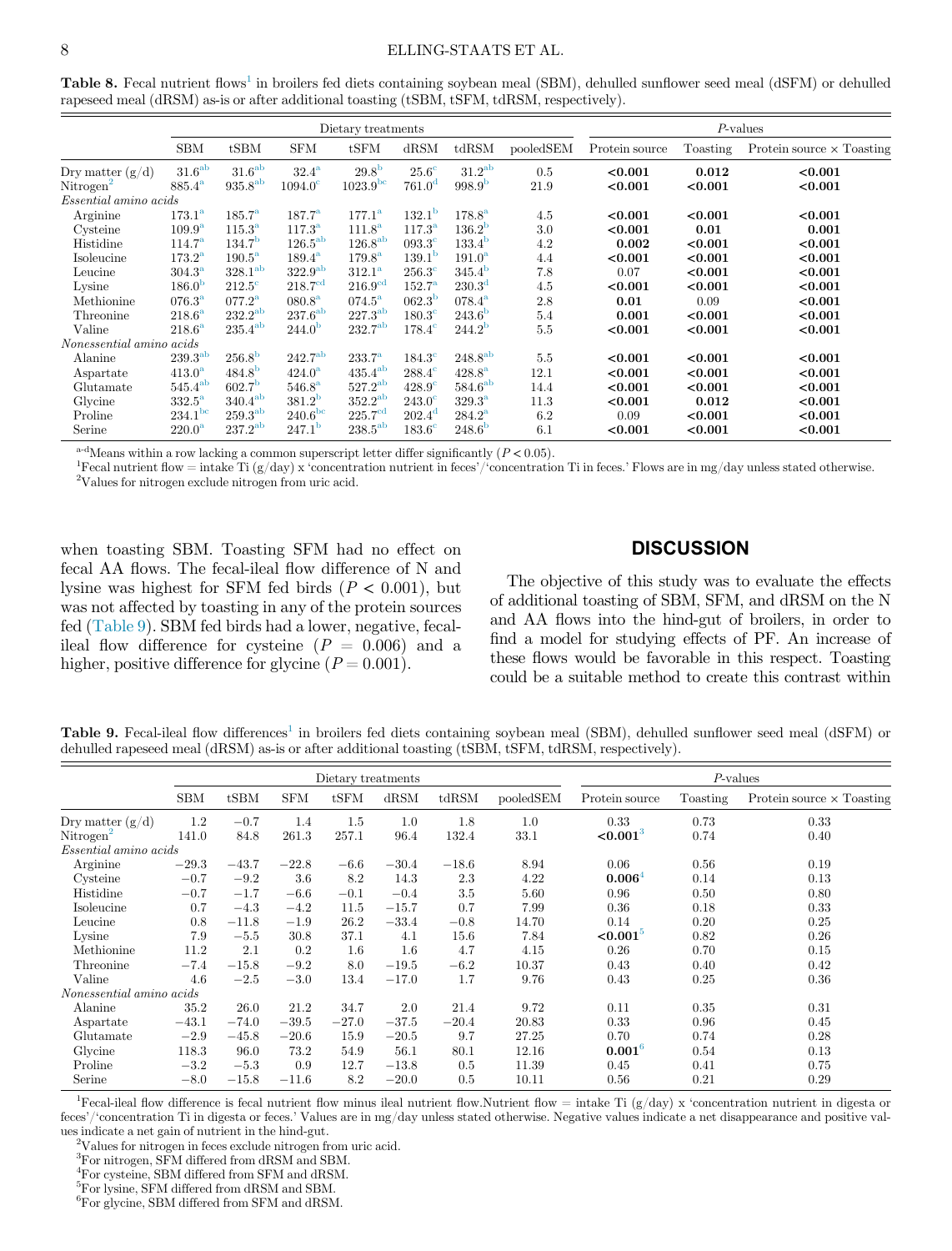<span id="page-7-0"></span>Table 8. Fecal nutrient flows<sup>[1](#page-7-2)</sup> in broilers fed diets containing soybean meal (SBM), dehulled sunflower seed meal (dSFM) or dehulled rapeseed meal (dRSM) as-is or after additional toasting (tSBM, tSFM, tdRSM, respectively).

|                          |                     |                      |                     | Dietary treatments   |                    |                     |           | $P$ -values    |          |                                  |  |
|--------------------------|---------------------|----------------------|---------------------|----------------------|--------------------|---------------------|-----------|----------------|----------|----------------------------------|--|
|                          | <b>SBM</b>          | tSBM                 | <b>SFM</b>          | tSFM                 | dRSM               | tdRSM               | pooledSEM | Protein source | Toasting | Protein source $\times$ Toasting |  |
| Dry matter $(g/d)$       | 31.6 <sup>ab</sup>  | $31.6^{\rm ab}$      | $32.4^{\mathrm{a}}$ | 29.8 <sup>b</sup>    | $25.6^\circ$       | $31.2^{ab}$         | 0.5       | < 0.001        | 0.012    | < 0.001                          |  |
| Nitrogen <sup>2</sup>    | $885.4^{\rm a}$     | $935.8^{ab}$         | $1094.0^{\circ}$    | 1023.9 <sup>bc</sup> | 761.0 <sup>d</sup> | 998.9 <sup>b</sup>  | 21.9      | < 0.001        | < 0.001  | < 0.001                          |  |
| Essential amino acids    |                     |                      |                     |                      |                    |                     |           |                |          |                                  |  |
| $\Large \bf Arginine$    | $173.1^{\rm a}$     | $185.7^{\rm a}$      | $187.7^{\rm a}$     | $177.1^{\rm a}$      | 132.1 <sup>b</sup> | $178.8^{a}$         | 4.5       | < 0.001        | < 0.001  | < 0.001                          |  |
| Cysteine                 | $109.9^{\rm a}$     | $115.3^{\rm a}$      | $117.3^{\rm a}$     | 111.8 <sup>a</sup>   | $117.3^{\rm a}$    | $136.2^{\rm b}$     | 3.0       | < 0.001        | 0.01     | 0.001                            |  |
| Histidine                | $114.7^{\rm a}$     | 134.7 <sup>b</sup>   | $126.5^{ab}$        | 126.8 <sup>ab</sup>  | $093.3^{\circ}$    | 133.4 <sup>b</sup>  | 4.2       | 0.002          | < 0.001  | < 0.001                          |  |
| Isoleucine               | $173.2^{\rm a}$     | $190.5^{\mathrm{a}}$ | $189.4^{\rm a}$     | $179.8^{\rm a}$      | 139.1 <sup>b</sup> | 191.0 <sup>a</sup>  | 4.4       | < 0.001        | < 0.001  | < 0.001                          |  |
| Leucine                  | $304.3^{\rm a}$     | 328.1 <sup>ab</sup>  | 322.9 <sup>ab</sup> | $312.1^{\rm a}$      | $256.3^\circ$      | 345.4 <sup>b</sup>  | 7.8       | 0.07           | < 0.001  | < 0.001                          |  |
| Lysine                   | 186.0 <sup>b</sup>  | $212.5^\circ$        | 218.7 <sup>cd</sup> | 216.9 <sup>cd</sup>  | $152.7^{\rm a}$    | 230.3 <sup>d</sup>  | 4.5       | < 0.001        | < 0.001  | < 0.001                          |  |
| Methionine               | $076.3^{\rm a}$     | $077.2^{\rm a}$      | $080.8^{\rm a}$     | $074.5^{\rm a}$      | $062.3^{b}$        | $078.4^{a}$         | $2.8\,$   | 0.01           | 0.09     | < 0.001                          |  |
| Threonine                | $218.6^{\rm a}$     | $232.2^{\rm ab}$     | $237.6^{\rm ab}$    | $227.3^{\rm ab}$     | $180.3^\circ$      | 243.6 <sup>b</sup>  | $5.4\,$   | 0.001          | < 0.001  | < 0.001                          |  |
| Valine                   | $218.6^{\rm a}$     | $235.4^{ab}$         | 244.0 <sup>b</sup>  | $232.7^{ab}$         | $178.4^{\circ}$    | $244.2^{\rm b}$     | 5.5       | < 0.001        | < 0.001  | < 0.001                          |  |
| Nonessential amino acids |                     |                      |                     |                      |                    |                     |           |                |          |                                  |  |
| Alanine                  | $239.3^{\rm ab}$    | 256.8 <sup>b</sup>   | $242.7^{ab}$        | $233.7^{\rm a}$      | $184.3^\circ$      | $248.8^{ab}$        | 5.5       | < 0.001        | < 0.001  | < 0.001                          |  |
| Aspartate                | $413.0^{\rm a}$     | $484.8^{b}$          | $424.0^{\rm a}$     | $435.4^{ab}$         | $288.4^{\circ}$    | $428.8^{\rm a}$     | 12.1      | < 0.001        | < 0.001  | < 0.001                          |  |
| Glutamate                | $545.4^{ab}$        | 602.7 <sup>b</sup>   | $546.8^{a}$         | $527.2^{ab}$         | $428.9^\circ$      | 584.6 <sup>ab</sup> | 14.4      | < 0.001        | < 0.001  | < 0.001                          |  |
| Glycine                  | $332.5^{\rm a}$     | $340.4^{ab}$         | 381.2 <sup>b</sup>  | 352.2 <sup>ab</sup>  | $243.0^\circ$      | $329.3^{\rm a}$     | 11.3      | < 0.001        | 0.012    | < 0.001                          |  |
| Proline                  | 234.1 <sup>bc</sup> | 259.3 <sup>ab</sup>  | 240.6 <sup>bc</sup> | 225.7 <sup>cd</sup>  | $202.4^{\rm d}$    | $284.2^{\rm a}$     | 6.2       | 0.09           | < 0.001  | < 0.001                          |  |
| Serine                   | 220.0 <sup>a</sup>  | $237.2^{ab}$         | 247.1 <sup>b</sup>  | $238.5^{ab}$         | $183.6^\circ$      | 248.6 <sup>b</sup>  | 6.1       | < 0.001        | < 0.001  | < 0.001                          |  |

<sup>a-d</sup>Means within a row lacking a common superscript letter differ significantly  $(P < 0.05)$ .

<span id="page-7-3"></span><span id="page-7-2"></span>Fecal nutrient flow = intake Ti  $(g/day)$  x 'concentration nutrient in feces'/'concentration Ti in feces.' Flows are in mg/day unless stated otherwise.  $\rm ^2V$  alues for nitrogen exclude nitrogen from uric acid.

when toasting SBM. Toasting SFM had no effect on fecal AA flows. The fecal-ileal flow difference of N and lysine was highest for SFM fed birds ( $P < 0.001$ ), but was not affected by toasting in any of the protein sources fed ([Table 9](#page-7-1)). SBM fed birds had a lower, negative, fecalileal flow difference for cysteine  $(P = 0.006)$  and a higher, positive difference for glycine  $(P = 0.001)$ .

# **DISCUSSION**

The objective of this study was to evaluate the effects of additional toasting of SBM, SFM, and dRSM on the N and AA flows into the hind-gut of broilers, in order to find a model for studying effects of PF. An increase of these flows would be favorable in this respect. Toasting could be a suitable method to create this contrast within

<span id="page-7-1"></span>Table 9. Fecal-ileal flow differences<sup>[1](#page-7-4)</sup> in broilers fed diets containing soybean meal (SBM), dehulled sunflower seed meal (dSFM) or dehulled rapeseed meal (dRSM) as-is or after additional toasting (tSBM, tSFM, tdRSM, respectively).

|                              |            |         |            | Dietary treatments |         |         |           | $P$ -values            |          |                                  |  |
|------------------------------|------------|---------|------------|--------------------|---------|---------|-----------|------------------------|----------|----------------------------------|--|
|                              | <b>SBM</b> | tSBM    | <b>SFM</b> | tSFM               | dRSM    | tdRSM   | pooledSEM | Protein source         | Toasting | Protein source $\times$ Toasting |  |
| Dry matter $(g/d)$           | 1.2        | $-0.7$  | 1.4        | 1.5                | 1.0     | 1.8     | 1.0       | 0.33                   | 0.73     | 0.33                             |  |
| Nitrogen <sup>2</sup>        | 141.0      | 84.8    | 261.3      | 257.1              | 96.4    | 132.4   | 33.1      | < 0.001 <sup>3</sup>   | 0.74     | 0.40                             |  |
| <i>Essential amino acids</i> |            |         |            |                    |         |         |           |                        |          |                                  |  |
| Arginine                     | $-29.3$    | $-43.7$ | $-22.8$    | $-6.6$             | $-30.4$ | $-18.6$ | 8.94      | 0.06                   | 0.56     | 0.19                             |  |
| Cysteine                     | $-0.7$     | $-9.2$  | 3.6        | 8.2                | 14.3    | 2.3     | 4.22      | 0.0064                 | 0.14     | 0.13                             |  |
| Histidine                    | $-0.7$     | $-1.7$  | $-6.6$     | $-0.1$             | $-0.4$  | 3.5     | 5.60      | 0.96                   | 0.50     | 0.80                             |  |
| Isoleucine                   | 0.7        | $-4.3$  | $-4.2$     | 11.5               | $-15.7$ | 0.7     | 7.99      | 0.36                   | 0.18     | 0.33                             |  |
| Leucine                      | 0.8        | $-11.8$ | $-1.9$     | 26.2               | $-33.4$ | $-0.8$  | 14.70     | 0.14                   | 0.20     | 0.25                             |  |
| Lysine                       | 7.9        | $-5.5$  | 30.8       | 37.1               | 4.1     | 15.6    | 7.84      | $< 0.001$ <sup>3</sup> | 0.82     | 0.26                             |  |
| Methionine                   | 11.2       | 2.1     | 0.2        | 1.6                | $1.6\,$ | 4.7     | 4.15      | 0.26                   | 0.70     | 0.15                             |  |
| Threonine                    | $-7.4$     | $-15.8$ | $-9.2$     | 8.0                | $-19.5$ | $-6.2$  | 10.37     | 0.43                   | 0.40     | 0.42                             |  |
| Valine                       | 4.6        | $-2.5$  | $-3.0$     | 13.4               | $-17.0$ | 1.7     | 9.76      | 0.43                   | 0.25     | 0.36                             |  |
| Nonessential amino acids     |            |         |            |                    |         |         |           |                        |          |                                  |  |
| Alanine                      | 35.2       | 26.0    | 21.2       | 34.7               | 2.0     | 21.4    | 9.72      | 0.11                   | 0.35     | 0.31                             |  |
| Aspartate                    | $-43.1$    | $-74.0$ | $-39.5$    | $-27.0$            | $-37.5$ | $-20.4$ | 20.83     | 0.33                   | 0.96     | 0.45                             |  |
| Glutamate                    | $-2.9$     | $-45.8$ | $-20.6$    | 15.9               | $-20.5$ | 9.7     | 27.25     | 0.70                   | 0.74     | 0.28                             |  |
| Glycine                      | 118.3      | 96.0    | 73.2       | 54.9               | 56.1    | 80.1    | 12.16     | $0.001^{6}$            | 0.54     | 0.13                             |  |
| Proline                      | $-3.2$     | $-5.3$  | 0.9        | 12.7               | $-13.8$ | 0.5     | 11.39     | 0.45                   | 0.41     | 0.75                             |  |
| Serine                       | $-8.0$     | $-15.8$ | $-11.6$    | 8.2                | $-20.0$ | 0.5     | 10.11     | 0.56                   | 0.21     | 0.29                             |  |

<span id="page-7-6"></span><span id="page-7-5"></span><span id="page-7-4"></span><sup>1</sup>Fecal-ileal flow difference is fecal nutrient flow minus ileal nutrient flow.Nutrient flow = intake Ti (g/day) x 'concentration nutrient in digesta or feces'/'concentration Ti in digesta or feces.' Values are in mg/day unless stated otherwise. Negative values indicate a net disappearance and positive values indicate a net gain of nutrient in the hind-gut. <sup>2</sup>

Values for nitrogen in feces exclude nitrogen from uric acid.

<span id="page-7-7"></span>3 For nitrogen, SFM differed from dRSM and SBM.

<span id="page-7-8"></span>4 For cysteine, SBM differed from SFM and dRSM.

<span id="page-7-9"></span>5 For lysine, SFM differed from dRSM and SBM.

6 For glycine, SBM differed from SFM and dRSM.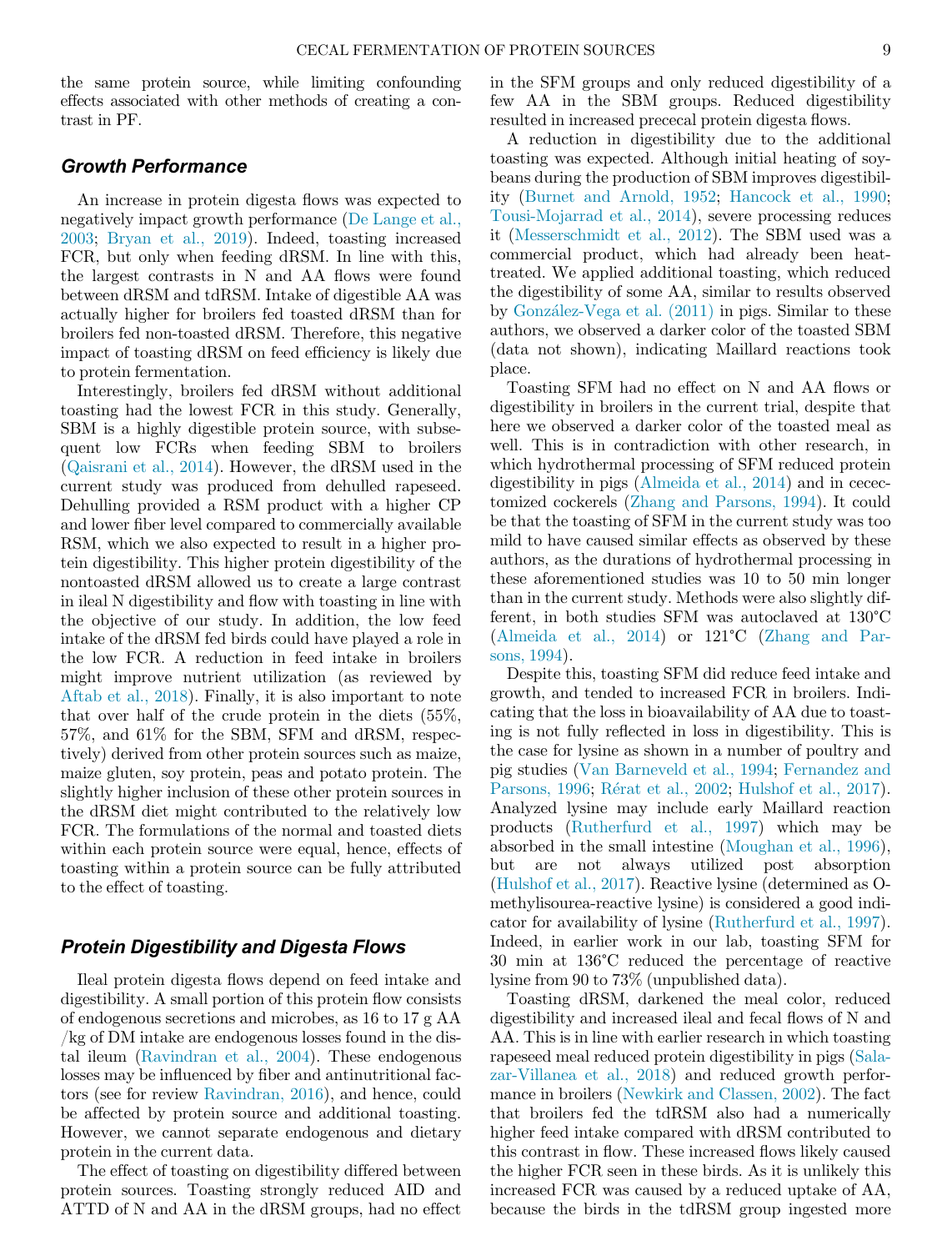the same protein source, while limiting confounding effects associated with other methods of creating a contrast in PF.

### Growth Performance

An increase in protein digesta flows was expected to negatively impact growth performance ([De Lange et al.,](#page-9-1) [2003;](#page-9-1) [Bryan et al., 2019\)](#page-9-2). Indeed, toasting increased FCR, but only when feeding dRSM. In line with this, the largest contrasts in N and AA flows were found between dRSM and tdRSM. Intake of digestible AA was actually higher for broilers fed toasted dRSM than for broilers fed non-toasted dRSM. Therefore, this negative impact of toasting dRSM on feed efficiency is likely due to protein fermentation.

Interestingly, broilers fed dRSM without additional toasting had the lowest FCR in this study. Generally, SBM is a highly digestible protein source, with subsequent low FCRs when feeding SBM to broilers ([Qaisrani et al., 2014](#page-10-10)). However, the dRSM used in the current study was produced from dehulled rapeseed. Dehulling provided a RSM product with a higher CP and lower fiber level compared to commercially available RSM, which we also expected to result in a higher protein digestibility. This higher protein digestibility of the nontoasted dRSM allowed us to create a large contrast in ileal N digestibility and flow with toasting in line with the objective of our study. In addition, the low feed intake of the dRSM fed birds could have played a role in the low FCR. A reduction in feed intake in broilers might improve nutrient utilization (as reviewed by [Aftab et al., 2018\)](#page-9-6). Finally, it is also important to note that over half of the crude protein in the diets (55%, 57%, and 61% for the SBM, SFM and dRSM, respectively) derived from other protein sources such as maize, maize gluten, soy protein, peas and potato protein. The slightly higher inclusion of these other protein sources in the dRSM diet might contributed to the relatively low FCR. The formulations of the normal and toasted diets within each protein source were equal, hence, effects of toasting within a protein source can be fully attributed to the effect of toasting.

### Protein Digestibility and Digesta Flows

Ileal protein digesta flows depend on feed intake and digestibility. A small portion of this protein flow consists of endogenous secretions and microbes, as 16 to 17 g AA /kg of DM intake are endogenous losses found in the distal ileum [\(Ravindran et al., 2004\)](#page-10-22). These endogenous losses may be influenced by fiber and antinutritional factors (see for review [Ravindran, 2016\)](#page-10-23), and hence, could be affected by protein source and additional toasting. However, we cannot separate endogenous and dietary protein in the current data.

The effect of toasting on digestibility differed between protein sources. Toasting strongly reduced AID and ATTD of N and AA in the dRSM groups, had no effect in the SFM groups and only reduced digestibility of a few AA in the SBM groups. Reduced digestibility resulted in increased prececal protein digesta flows.

A reduction in digestibility due to the additional toasting was expected. Although initial heating of soybeans during the production of SBM improves digestibility ([Burnet and Arnold, 1952](#page-9-7); [Hancock et al., 1990](#page-9-8); [Tousi-Mojarrad et al., 2014\)](#page-10-24), severe processing reduces it [\(Messerschmidt et al., 2012\)](#page-10-25). The SBM used was a commercial product, which had already been heattreated. We applied additional toasting, which reduced the digestibility of some AA, similar to results observed by [Gonz](#page-9-9)[alez-Vega et al. \(2011\)](#page-9-9) in pigs. Similar to these authors, we observed a darker color of the toasted SBM (data not shown), indicating Maillard reactions took place.

Toasting SFM had no effect on N and AA flows or digestibility in broilers in the current trial, despite that here we observed a darker color of the toasted meal as well. This is in contradiction with other research, in which hydrothermal processing of SFM reduced protein digestibility in pigs ([Almeida et al., 2014\)](#page-9-10) and in cecectomized cockerels ([Zhang and Parsons, 1994](#page-10-26)). It could be that the toasting of SFM in the current study was too mild to have caused similar effects as observed by these authors, as the durations of hydrothermal processing in these aforementioned studies was 10 to 50 min longer than in the current study. Methods were also slightly different, in both studies SFM was autoclaved at 130°C ([Almeida et al., 2014](#page-9-10)) or 121°C ([Zhang and Par](#page-10-26)[sons, 1994](#page-10-26)).

Despite this, toasting SFM did reduce feed intake and growth, and tended to increased FCR in broilers. Indicating that the loss in bioavailability of AA due to toasting is not fully reflected in loss in digestibility. This is the case for lysine as shown in a number of poultry and pig studies ([Van Barneveld et al., 1994](#page-10-27); [Fernandez and](#page-9-11) [Parsons, 1996;](#page-9-11) [R](#page-10-28)érat et al., 2002; [Hulshof et al., 2017](#page-10-29)). Analyzed lysine may include early Maillard reaction products ([Rutherfurd et al., 1997\)](#page-10-30) which may be absorbed in the small intestine [\(Moughan et al., 1996](#page-10-31)), but are not always utilized post absorption ([Hulshof et al., 2017](#page-10-29)). Reactive lysine (determined as Omethylisourea-reactive lysine) is considered a good indicator for availability of lysine [\(Rutherfurd et al., 1997](#page-10-30)). Indeed, in earlier work in our lab, toasting SFM for 30 min at 136°C reduced the percentage of reactive lysine from 90 to 73% (unpublished data).

Toasting dRSM, darkened the meal color, reduced digestibility and increased ileal and fecal flows of N and AA. This is in line with earlier research in which toasting rapeseed meal reduced protein digestibility in pigs [\(Sala](#page-10-13)[zar-Villanea et al., 2018\)](#page-10-13) and reduced growth performance in broilers ([Newkirk and Classen, 2002\)](#page-10-32). The fact that broilers fed the tdRSM also had a numerically higher feed intake compared with dRSM contributed to this contrast in flow. These increased flows likely caused the higher FCR seen in these birds. As it is unlikely this increased FCR was caused by a reduced uptake of AA, because the birds in the tdRSM group ingested more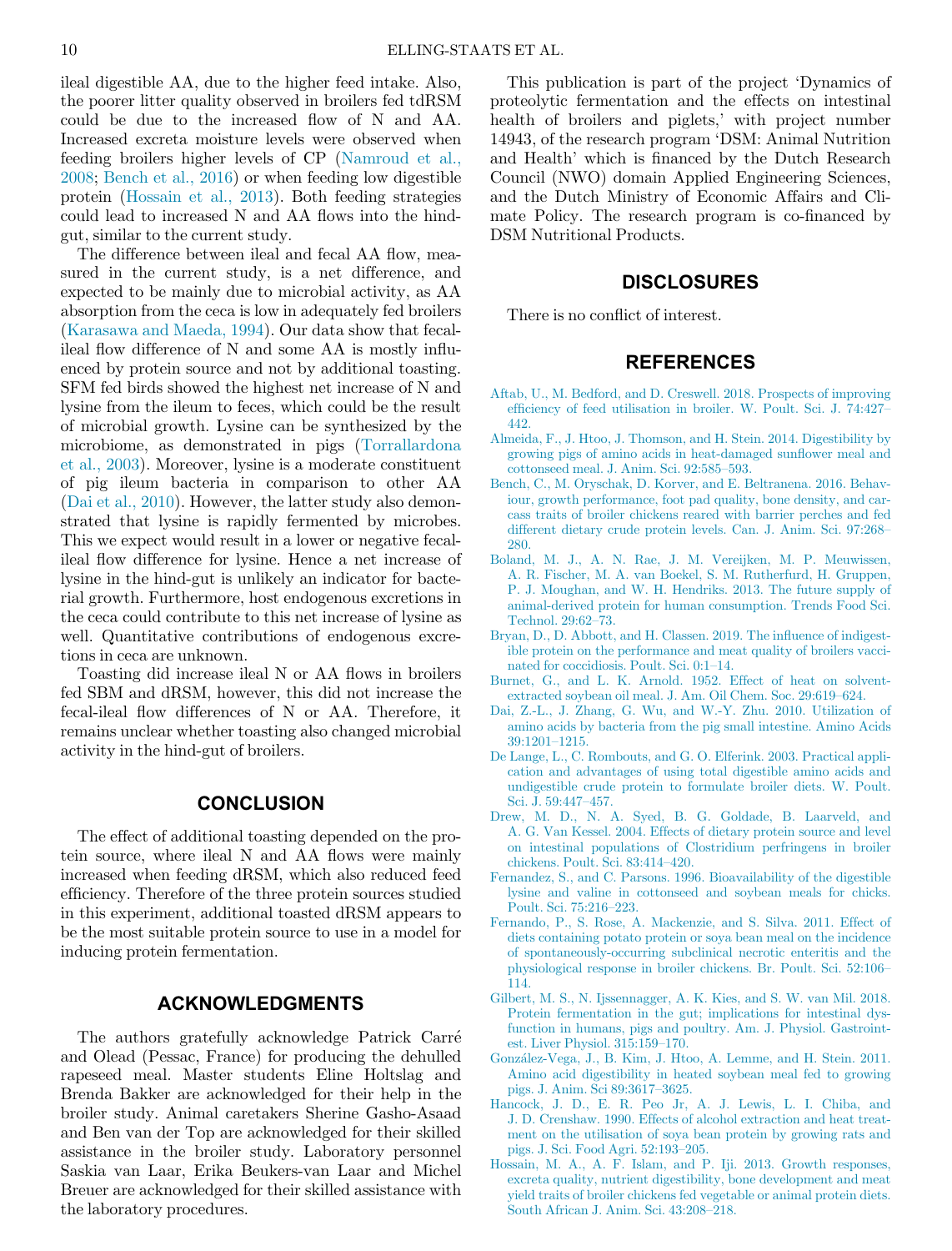ileal digestible AA, due to the higher feed intake. Also, the poorer litter quality observed in broilers fed tdRSM could be due to the increased flow of N and AA. Increased excreta moisture levels were observed when feeding broilers higher levels of CP ([Namroud et al.,](#page-10-33) [2008;](#page-10-33) [Bench et al., 2016\)](#page-9-12) or when feeding low digestible protein ([Hossain et al., 2013](#page-9-13)). Both feeding strategies could lead to increased N and AA flows into the hindgut, similar to the current study.

<span id="page-9-10"></span><span id="page-9-6"></span>The difference between ileal and fecal AA flow, measured in the current study, is a net difference, and expected to be mainly due to microbial activity, as AA absorption from the ceca is low in adequately fed broilers ([Karasawa and Maeda, 1994](#page-10-34)). Our data show that fecalileal flow difference of N and some AA is mostly influenced by protein source and not by additional toasting. SFM fed birds showed the highest net increase of N and lysine from the ileum to feces, which could be the result of microbial growth. Lysine can be synthesized by the microbiome, as demonstrated in pigs ([Torrallardona](#page-10-35) [et al., 2003](#page-10-35)). Moreover, lysine is a moderate constituent of pig ileum bacteria in comparison to other AA ([Dai et al., 2010](#page-9-14)). However, the latter study also demonstrated that lysine is rapidly fermented by microbes. This we expect would result in a lower or negative fecalileal flow difference for lysine. Hence a net increase of lysine in the hind-gut is unlikely an indicator for bacterial growth. Furthermore, host endogenous excretions in the ceca could contribute to this net increase of lysine as well. Quantitative contributions of endogenous excretions in ceca are unknown.

<span id="page-9-14"></span><span id="page-9-12"></span><span id="page-9-7"></span><span id="page-9-2"></span><span id="page-9-1"></span><span id="page-9-0"></span>Toasting did increase ileal N or AA flows in broilers fed SBM and dRSM, however, this did not increase the fecal-ileal flow differences of N or AA. Therefore, it remains unclear whether toasting also changed microbial activity in the hind-gut of broilers.

# **CONCLUSION**

<span id="page-9-11"></span><span id="page-9-4"></span><span id="page-9-3"></span>The effect of additional toasting depended on the protein source, where ileal N and AA flows were mainly increased when feeding dRSM, which also reduced feed efficiency. Therefore of the three protein sources studied in this experiment, additional toasted dRSM appears to be the most suitable protein source to use in a model for inducing protein fermentation.

### ACKNOWLEDGMENTS

<span id="page-9-13"></span><span id="page-9-9"></span><span id="page-9-8"></span><span id="page-9-5"></span>The authors gratefully acknowledge Patrick Carre and Olead (Pessac, France) for producing the dehulled rapeseed meal. Master students Eline Holtslag and Brenda Bakker are acknowledged for their help in the broiler study. Animal caretakers Sherine Gasho-Asaad and Ben van der Top are acknowledged for their skilled assistance in the broiler study. Laboratory personnel Saskia van Laar, Erika Beukers-van Laar and Michel Breuer are acknowledged for their skilled assistance with the laboratory procedures.

This publication is part of the project 'Dynamics of proteolytic fermentation and the effects on intestinal health of broilers and piglets,' with project number 14943, of the research program 'DSM: Animal Nutrition and Health' which is financed by the Dutch Research Council (NWO) domain Applied Engineering Sciences, and the Dutch Ministry of Economic Affairs and Climate Policy. The research program is co-financed by DSM Nutritional Products.

### DISCLOSURES

There is no conflict of interest.

# REFERENCES

- [Aftab, U., M. Bedford, and D. Creswell. 2018. Prospects of improving](http://refhub.elsevier.com/S0032-5791(22)00203-6/sbref0001) effi[ciency of feed utilisation in broiler. W. Poult. Sci. J. 74:427](http://refhub.elsevier.com/S0032-5791(22)00203-6/sbref0001)– [442.](http://refhub.elsevier.com/S0032-5791(22)00203-6/sbref0001)
- [Almeida, F., J. Htoo, J. Thomson, and H. Stein. 2014. Digestibility by](http://refhub.elsevier.com/S0032-5791(22)00203-6/sbref0002) [growing pigs of amino acids in heat-damaged sun](http://refhub.elsevier.com/S0032-5791(22)00203-6/sbref0002)flower meal and [cottonseed meal. J. Anim. Sci. 92:585](http://refhub.elsevier.com/S0032-5791(22)00203-6/sbref0002)–593.
- [Bench, C., M. Oryschak, D. Korver, and E. Beltranena. 2016. Behav](http://refhub.elsevier.com/S0032-5791(22)00203-6/sbref0003)[iour, growth performance, foot pad quality, bone density, and car](http://refhub.elsevier.com/S0032-5791(22)00203-6/sbref0003)[cass traits of broiler chickens reared with barrier perches and fed](http://refhub.elsevier.com/S0032-5791(22)00203-6/sbref0003) [different dietary crude protein levels. Can. J. Anim. Sci. 97:268](http://refhub.elsevier.com/S0032-5791(22)00203-6/sbref0003)– [280.](http://refhub.elsevier.com/S0032-5791(22)00203-6/sbref0003)
- [Boland, M. J., A. N. Rae, J. M. Vereijken, M. P. Meuwissen,](http://refhub.elsevier.com/S0032-5791(22)00203-6/sbref0004) [A. R. Fischer, M. A. van Boekel, S. M. Rutherfurd, H. Gruppen,](http://refhub.elsevier.com/S0032-5791(22)00203-6/sbref0004) [P. J. Moughan, and W. H. Hendriks. 2013. The future supply of](http://refhub.elsevier.com/S0032-5791(22)00203-6/sbref0004) [animal-derived protein for human consumption. Trends Food Sci.](http://refhub.elsevier.com/S0032-5791(22)00203-6/sbref0004) [Technol. 29:62](http://refhub.elsevier.com/S0032-5791(22)00203-6/sbref0004)–73.
- [Bryan, D., D. Abbott, and H. Classen. 2019. The in](http://refhub.elsevier.com/S0032-5791(22)00203-6/sbref0005)fluence of indigest[ible protein on the performance and meat quality of broilers vacci](http://refhub.elsevier.com/S0032-5791(22)00203-6/sbref0005)[nated for coccidiosis. Poult. Sci. 0:1](http://refhub.elsevier.com/S0032-5791(22)00203-6/sbref0005)–14.
- [Burnet, G., and L. K. Arnold. 1952. Effect of heat on solvent](http://refhub.elsevier.com/S0032-5791(22)00203-6/sbref0006)[extracted soybean oil meal. J. Am. Oil Chem. Soc. 29:619](http://refhub.elsevier.com/S0032-5791(22)00203-6/sbref0006)–624.
- [Dai, Z.-L., J. Zhang, G. Wu, and W.-Y. Zhu. 2010. Utilization of](http://refhub.elsevier.com/S0032-5791(22)00203-6/sbref0007) [amino acids by bacteria from the pig small intestine. Amino Acids](http://refhub.elsevier.com/S0032-5791(22)00203-6/sbref0007) [39:1201](http://refhub.elsevier.com/S0032-5791(22)00203-6/sbref0007)–1215.
- [De Lange, L., C. Rombouts, and G. O. Elferink. 2003. Practical appli](http://refhub.elsevier.com/S0032-5791(22)00203-6/sbref0008)[cation and advantages of using total digestible amino acids and](http://refhub.elsevier.com/S0032-5791(22)00203-6/sbref0008) [undigestible crude protein to formulate broiler diets. W. Poult.](http://refhub.elsevier.com/S0032-5791(22)00203-6/sbref0008) [Sci. J. 59:447](http://refhub.elsevier.com/S0032-5791(22)00203-6/sbref0008)–457.
- [Drew, M. D., N. A. Syed, B. G. Goldade, B. Laarveld, and](http://refhub.elsevier.com/S0032-5791(22)00203-6/sbref0009) [A. G. Van Kessel. 2004. Effects of dietary protein source and level](http://refhub.elsevier.com/S0032-5791(22)00203-6/sbref0009) [on intestinal populations of Clostridium perfringens in broiler](http://refhub.elsevier.com/S0032-5791(22)00203-6/sbref0009) [chickens. Poult. Sci. 83:414](http://refhub.elsevier.com/S0032-5791(22)00203-6/sbref0009)–420.
- [Fernandez, S., and C. Parsons. 1996. Bioavailability of the digestible](http://refhub.elsevier.com/S0032-5791(22)00203-6/sbref0010) [lysine and valine in cottonseed and soybean meals for chicks.](http://refhub.elsevier.com/S0032-5791(22)00203-6/sbref0010) [Poult. Sci. 75:216](http://refhub.elsevier.com/S0032-5791(22)00203-6/sbref0010)–223.
- [Fernando, P., S. Rose, A. Mackenzie, and S. Silva. 2011. Effect of](http://refhub.elsevier.com/S0032-5791(22)00203-6/sbref0011) [diets containing potato protein or soya bean meal on the incidence](http://refhub.elsevier.com/S0032-5791(22)00203-6/sbref0011) [of spontaneously-occurring subclinical necrotic enteritis and the](http://refhub.elsevier.com/S0032-5791(22)00203-6/sbref0011) [physiological response in broiler chickens. Br. Poult. Sci. 52:106](http://refhub.elsevier.com/S0032-5791(22)00203-6/sbref0011)– [114.](http://refhub.elsevier.com/S0032-5791(22)00203-6/sbref0011)
- [Gilbert, M. S., N. Ijssennagger, A. K. Kies, and S. W. van Mil. 2018.](http://refhub.elsevier.com/S0032-5791(22)00203-6/sbref0012) [Protein fermentation in the gut; implications for intestinal dys](http://refhub.elsevier.com/S0032-5791(22)00203-6/sbref0012)[function in humans, pigs and poultry. Am. J. Physiol. Gastroint](http://refhub.elsevier.com/S0032-5791(22)00203-6/sbref0012)[est. Liver Physiol. 315:159](http://refhub.elsevier.com/S0032-5791(22)00203-6/sbref0012)–170.
- [Gonz](http://refhub.elsevier.com/S0032-5791(22)00203-6/sbref0013)[alez-Vega, J., B. Kim, J. Htoo, A. Lemme, and H. Stein. 2011.](http://refhub.elsevier.com/S0032-5791(22)00203-6/sbref0013) [Amino acid digestibility in heated soybean meal fed to growing](http://refhub.elsevier.com/S0032-5791(22)00203-6/sbref0013) [pigs. J. Anim. Sci 89:3617](http://refhub.elsevier.com/S0032-5791(22)00203-6/sbref0013)–3625.
- [Hancock, J. D., E. R. Peo Jr, A. J. Lewis, L. I. Chiba, and](http://refhub.elsevier.com/S0032-5791(22)00203-6/sbref0014) [J. D. Crenshaw. 1990. Effects of alcohol extraction and heat treat](http://refhub.elsevier.com/S0032-5791(22)00203-6/sbref0014)[ment on the utilisation of soya bean protein by growing rats and](http://refhub.elsevier.com/S0032-5791(22)00203-6/sbref0014) [pigs. J. Sci. Food Agri. 52:193](http://refhub.elsevier.com/S0032-5791(22)00203-6/sbref0014)–205.
- [Hossain, M. A., A. F. Islam, and P. Iji. 2013. Growth responses,](http://refhub.elsevier.com/S0032-5791(22)00203-6/sbref0015) [excreta quality, nutrient digestibility, bone development and meat](http://refhub.elsevier.com/S0032-5791(22)00203-6/sbref0015) [yield traits of broiler chickens fed vegetable or animal protein diets.](http://refhub.elsevier.com/S0032-5791(22)00203-6/sbref0015) [South African J. Anim. Sci. 43:208](http://refhub.elsevier.com/S0032-5791(22)00203-6/sbref0015)–218.